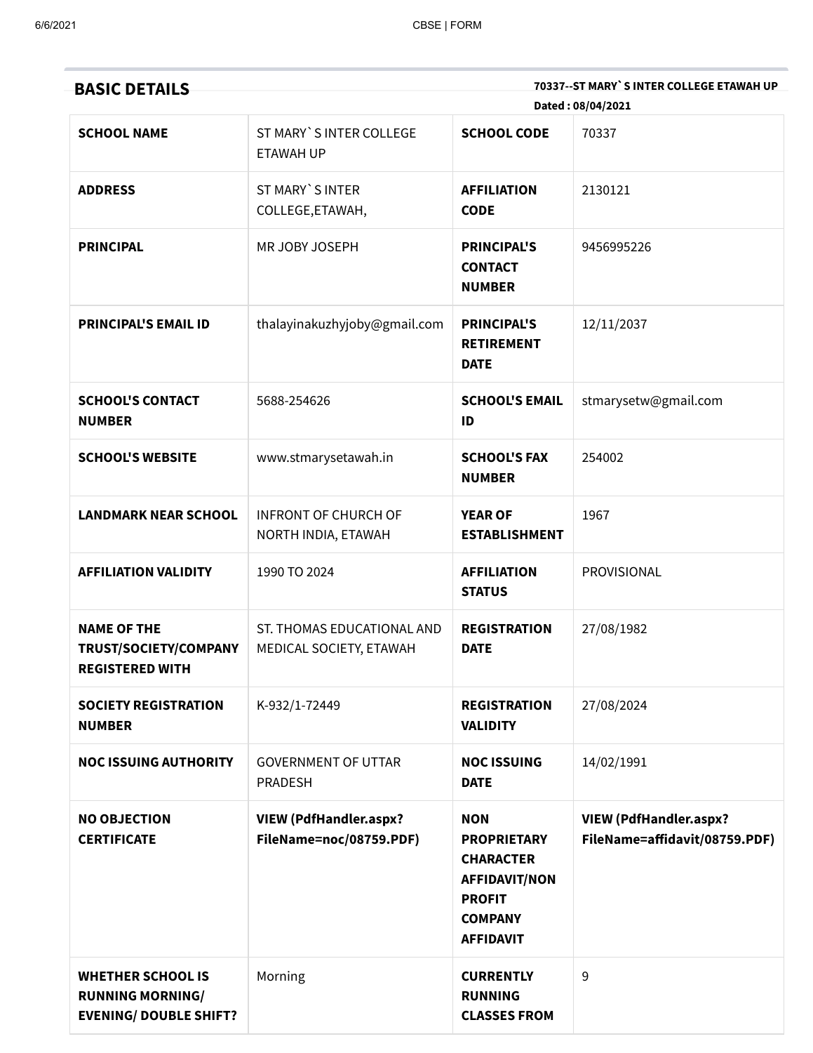| <b>BASIC DETAILS</b>                                                                 |                                                          |                                                                                                                                     | 70337--ST MARY`S INTER COLLEGE ETAWAH UP<br>Dated: 08/04/2021  |
|--------------------------------------------------------------------------------------|----------------------------------------------------------|-------------------------------------------------------------------------------------------------------------------------------------|----------------------------------------------------------------|
| <b>SCHOOL NAME</b>                                                                   | ST MARY`S INTER COLLEGE<br><b>ETAWAH UP</b>              | <b>SCHOOL CODE</b>                                                                                                                  | 70337                                                          |
| <b>ADDRESS</b>                                                                       | ST MARY`S INTER<br>COLLEGE, ETAWAH,                      | <b>AFFILIATION</b><br><b>CODE</b>                                                                                                   | 2130121                                                        |
| <b>PRINCIPAL</b>                                                                     | MR JOBY JOSEPH                                           | <b>PRINCIPAL'S</b><br><b>CONTACT</b><br><b>NUMBER</b>                                                                               | 9456995226                                                     |
| <b>PRINCIPAL'S EMAIL ID</b>                                                          | thalayinakuzhyjoby@gmail.com                             | <b>PRINCIPAL'S</b><br><b>RETIREMENT</b><br><b>DATE</b>                                                                              | 12/11/2037                                                     |
| <b>SCHOOL'S CONTACT</b><br><b>NUMBER</b>                                             | 5688-254626                                              | <b>SCHOOL'S EMAIL</b><br>ID                                                                                                         | stmarysetw@gmail.com                                           |
| <b>SCHOOL'S WEBSITE</b>                                                              | www.stmarysetawah.in                                     | <b>SCHOOL'S FAX</b><br><b>NUMBER</b>                                                                                                | 254002                                                         |
| <b>LANDMARK NEAR SCHOOL</b>                                                          | <b>INFRONT OF CHURCH OF</b><br>NORTH INDIA, ETAWAH       | <b>YEAR OF</b><br><b>ESTABLISHMENT</b>                                                                                              | 1967                                                           |
| <b>AFFILIATION VALIDITY</b>                                                          | 1990 TO 2024                                             | <b>AFFILIATION</b><br><b>STATUS</b>                                                                                                 | PROVISIONAL                                                    |
| <b>NAME OF THE</b><br>TRUST/SOCIETY/COMPANY<br><b>REGISTERED WITH</b>                | ST. THOMAS EDUCATIONAL AND<br>MEDICAL SOCIETY, ETAWAH    | <b>REGISTRATION</b><br><b>DATE</b>                                                                                                  | 27/08/1982                                                     |
| <b>SOCIETY REGISTRATION</b><br><b>NUMBER</b>                                         | K-932/1-72449                                            | <b>REGISTRATION</b><br><b>VALIDITY</b>                                                                                              | 27/08/2024                                                     |
| <b>NOC ISSUING AUTHORITY</b>                                                         | <b>GOVERNMENT OF UTTAR</b><br>PRADESH                    | <b>NOC ISSUING</b><br><b>DATE</b>                                                                                                   | 14/02/1991                                                     |
| <b>NO OBJECTION</b><br><b>CERTIFICATE</b>                                            | <b>VIEW (PdfHandler.aspx?</b><br>FileName=noc/08759.PDF) | <b>NON</b><br><b>PROPRIETARY</b><br><b>CHARACTER</b><br><b>AFFIDAVIT/NON</b><br><b>PROFIT</b><br><b>COMPANY</b><br><b>AFFIDAVIT</b> | <b>VIEW (PdfHandler.aspx?</b><br>FileName=affidavit/08759.PDF) |
| <b>WHETHER SCHOOL IS</b><br><b>RUNNING MORNING/</b><br><b>EVENING/ DOUBLE SHIFT?</b> | Morning                                                  | <b>CURRENTLY</b><br><b>RUNNING</b><br><b>CLASSES FROM</b>                                                                           | 9                                                              |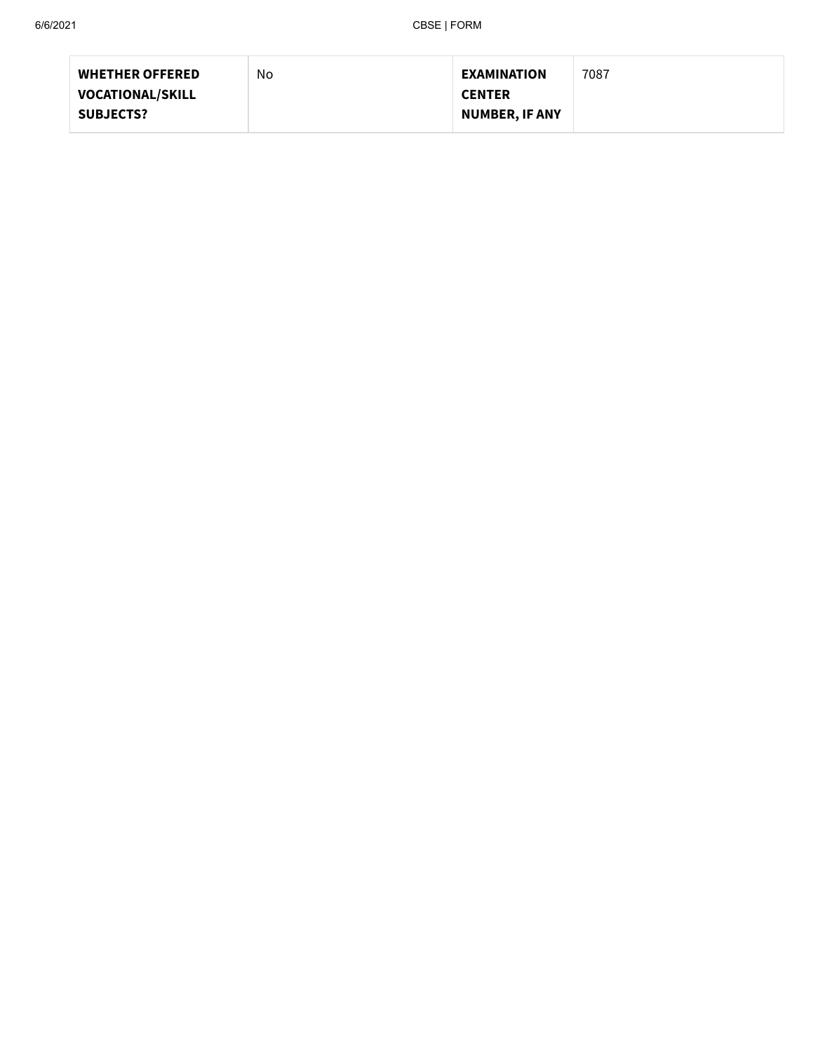| <b>WHETHER OFFERED</b>  | No | <b>EXAMINATION</b>    | 7087 |
|-------------------------|----|-----------------------|------|
| <b>VOCATIONAL/SKILL</b> |    | <b>CENTER</b>         |      |
| <b>SUBJECTS?</b>        |    | <b>NUMBER, IF ANY</b> |      |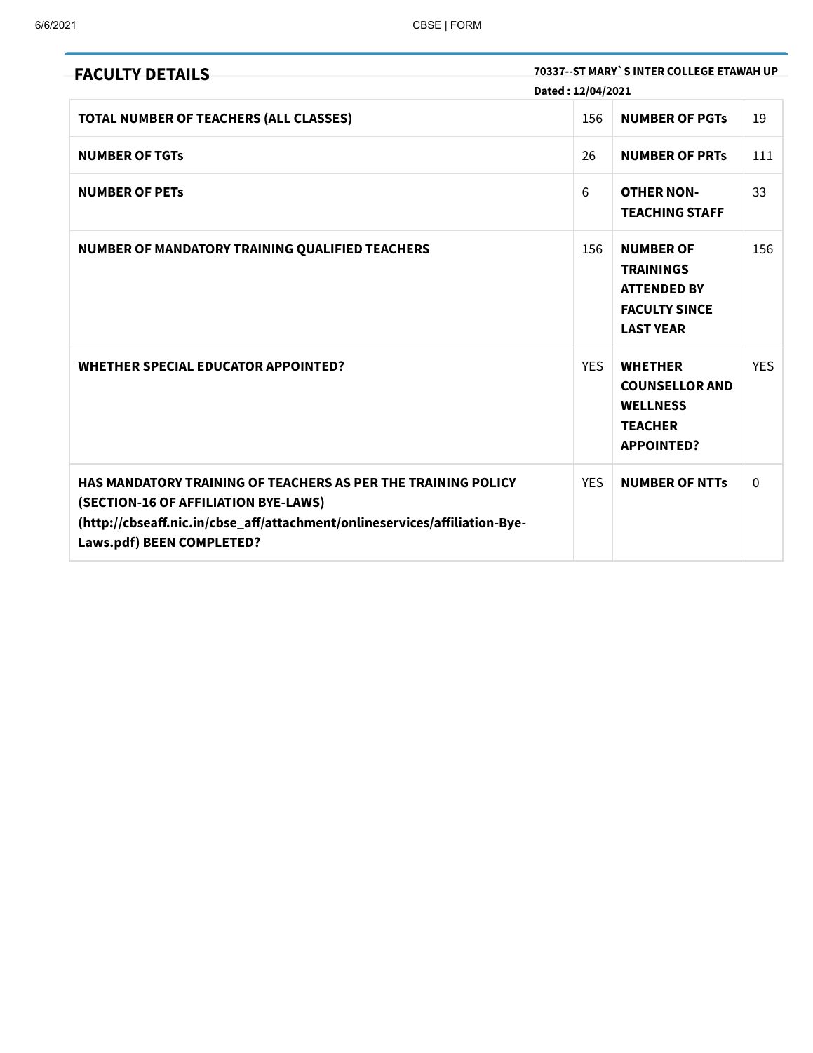| <b>FACULTY DETAILS</b>                                                                                                                                                                                           | Dated: 12/04/2021 | 70337--ST MARY`S INTER COLLEGE ETAWAH UP                                                               |              |
|------------------------------------------------------------------------------------------------------------------------------------------------------------------------------------------------------------------|-------------------|--------------------------------------------------------------------------------------------------------|--------------|
| TOTAL NUMBER OF TEACHERS (ALL CLASSES)                                                                                                                                                                           | 156               | <b>NUMBER OF PGTS</b>                                                                                  | 19           |
| <b>NUMBER OF TGTs</b>                                                                                                                                                                                            | 26                | <b>NUMBER OF PRTS</b>                                                                                  | 111          |
| <b>NUMBER OF PETS</b>                                                                                                                                                                                            | 6                 | <b>OTHER NON-</b><br><b>TEACHING STAFF</b>                                                             | 33           |
| NUMBER OF MANDATORY TRAINING QUALIFIED TEACHERS                                                                                                                                                                  | 156               | <b>NUMBER OF</b><br><b>TRAININGS</b><br><b>ATTENDED BY</b><br><b>FACULTY SINCE</b><br><b>LAST YEAR</b> | 156          |
| <b>WHETHER SPECIAL EDUCATOR APPOINTED?</b>                                                                                                                                                                       | <b>YES</b>        | <b>WHETHER</b><br><b>COUNSELLOR AND</b><br><b>WELLNESS</b><br><b>TEACHER</b><br><b>APPOINTED?</b>      | <b>YES</b>   |
| HAS MANDATORY TRAINING OF TEACHERS AS PER THE TRAINING POLICY<br>(SECTION-16 OF AFFILIATION BYE-LAWS)<br>(http://cbseaff.nic.in/cbse_aff/attachment/onlineservices/affiliation-Bye-<br>Laws.pdf) BEEN COMPLETED? | <b>YES</b>        | <b>NUMBER OF NTTS</b>                                                                                  | $\mathbf{0}$ |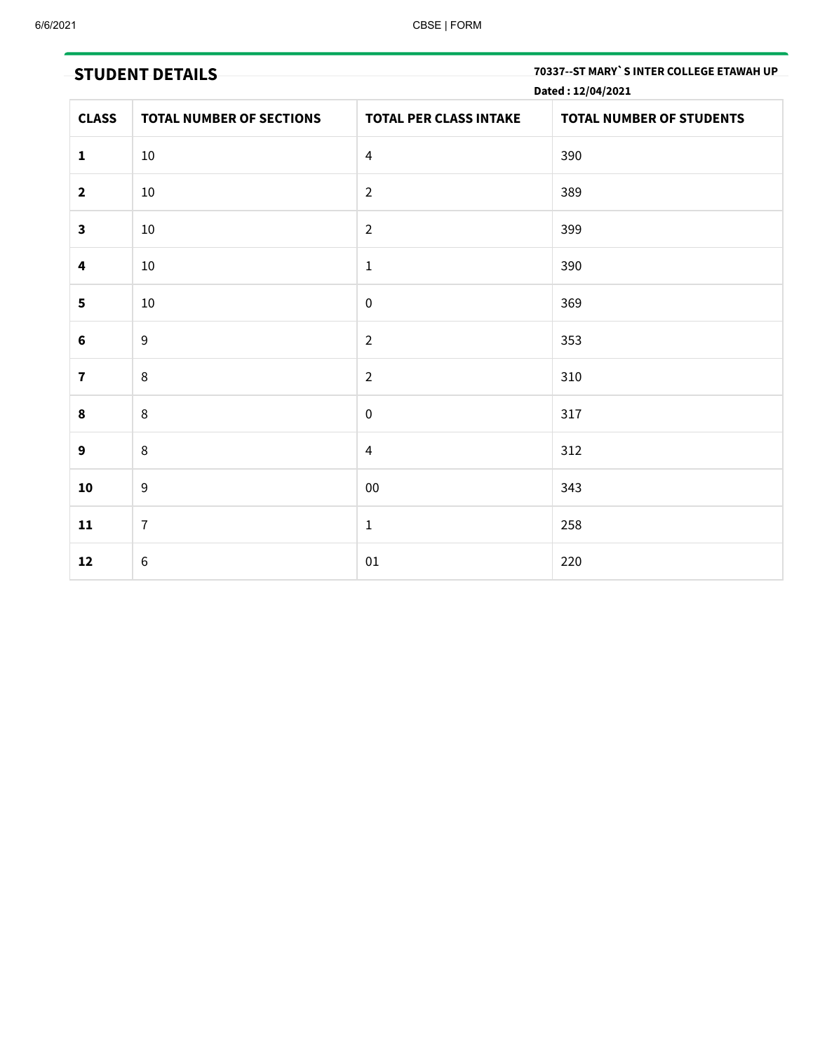**STUDENT DETAILS 70337--ST MARY`S INTER COLLEGE ETAWAH UP**

|                         | Dated: 12/04/2021               |                               |                                 |  |  |
|-------------------------|---------------------------------|-------------------------------|---------------------------------|--|--|
| <b>CLASS</b>            | <b>TOTAL NUMBER OF SECTIONS</b> | <b>TOTAL PER CLASS INTAKE</b> | <b>TOTAL NUMBER OF STUDENTS</b> |  |  |
| $\mathbf{1}$            | $10\,$                          | $\overline{4}$                | 390                             |  |  |
| $\mathbf{2}$            | 10                              | $\overline{2}$                | 389                             |  |  |
| $\overline{\mathbf{3}}$ | 10                              | $\overline{2}$                | 399                             |  |  |
| 4                       | 10                              | $\mathbf 1$                   | 390                             |  |  |
| 5                       | $10\,$                          | $\pmb{0}$                     | 369                             |  |  |
| $\bf 6$                 | $\overline{9}$                  | $\overline{2}$                | 353                             |  |  |
| $\mathbf 7$             | 8                               | $\overline{2}$                | 310                             |  |  |
| 8                       | 8                               | $\pmb{0}$                     | 317                             |  |  |
| 9                       | 8                               | $\overline{4}$                | 312                             |  |  |
| 10                      | $9\,$                           | ${\bf 00}$                    | 343                             |  |  |
| 11                      | $\overline{7}$                  | $\mathbf 1$                   | 258                             |  |  |
| 12                      | $\,6\,$                         | $01\,$                        | 220                             |  |  |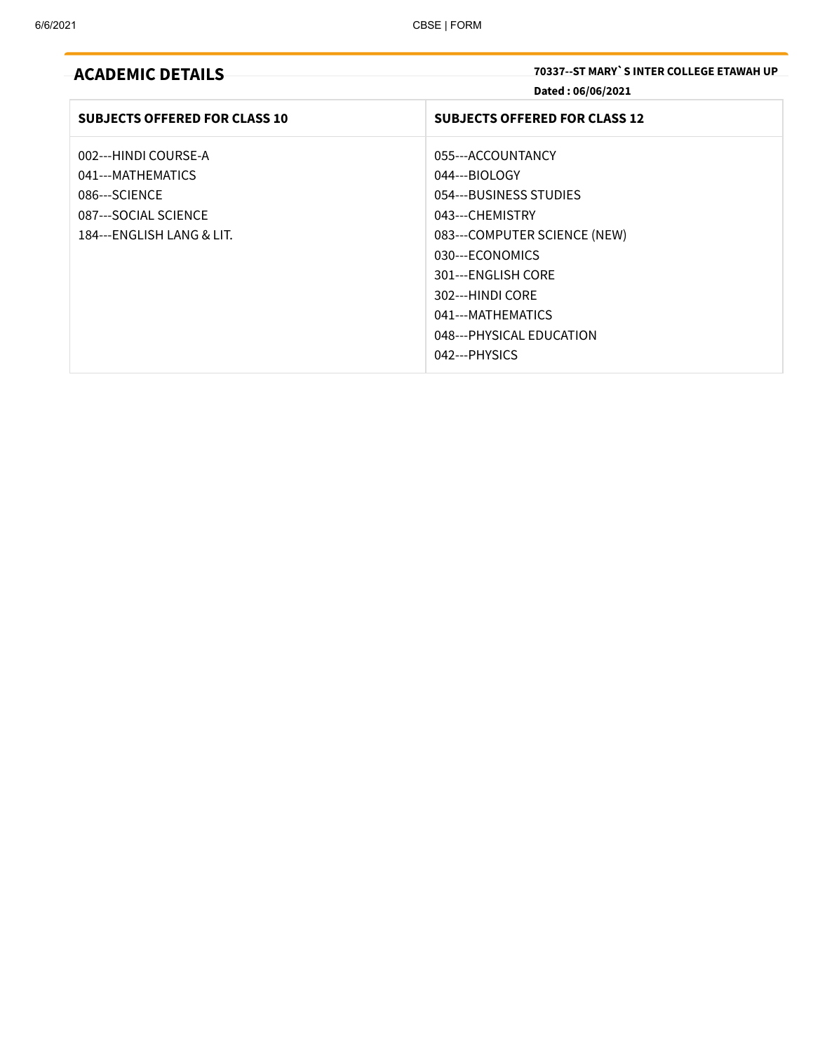## **ACADEMIC DETAILS 70337--ST MARY`S INTER COLLEGE ETAWAH UP Dated : 06/06/2021**

| <b>SUBJECTS OFFERED FOR CLASS 10</b>                                                                            | <b>SUBJECTS OFFERED FOR CLASS 12</b>                                                                                                                                                                                           |
|-----------------------------------------------------------------------------------------------------------------|--------------------------------------------------------------------------------------------------------------------------------------------------------------------------------------------------------------------------------|
| 002---HINDI COURSE-A<br>041---MATHEMATICS<br>086---SCIENCE<br>087---SOCIAL SCIENCE<br>184---ENGLISH LANG & LIT. | 055---ACCOUNTANCY<br>044---BIOLOGY<br>054---BUSINESS STUDIES<br>043---CHEMISTRY<br>083---COMPUTER SCIENCE (NEW)<br>030---ECONOMICS<br>301---ENGLISH CORE<br>302---HINDI CORE<br>041---MATHEMATICS<br>048--- PHYSICAL EDUCATION |
|                                                                                                                 | 042---PHYSICS                                                                                                                                                                                                                  |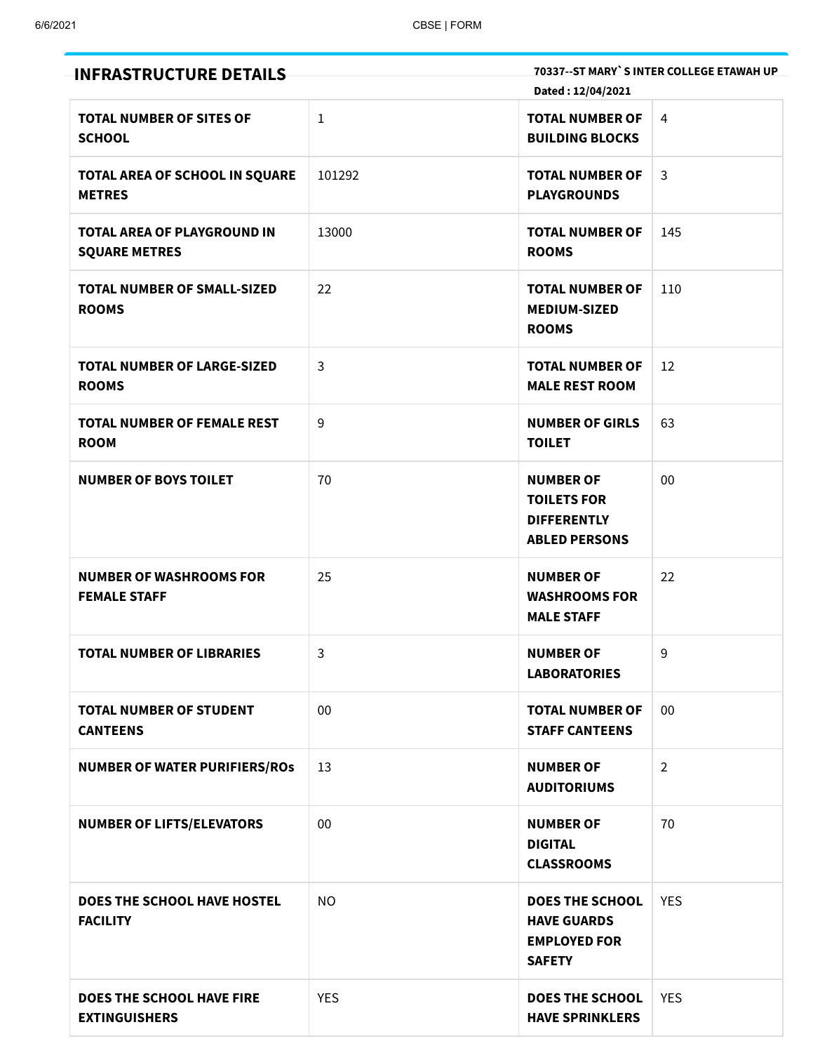| <b>INFRASTRUCTURE DETAILS</b>                              |              |                                                                                      | 70337--ST MARY`S INTER COLLEGE ETAWAH UP |
|------------------------------------------------------------|--------------|--------------------------------------------------------------------------------------|------------------------------------------|
|                                                            |              | Dated: 12/04/2021                                                                    |                                          |
| <b>TOTAL NUMBER OF SITES OF</b><br><b>SCHOOL</b>           | $\mathbf{1}$ | <b>TOTAL NUMBER OF</b><br><b>BUILDING BLOCKS</b>                                     | 4                                        |
| TOTAL AREA OF SCHOOL IN SQUARE<br><b>METRES</b>            | 101292       | <b>TOTAL NUMBER OF</b><br><b>PLAYGROUNDS</b>                                         | $\mathsf{3}$                             |
| <b>TOTAL AREA OF PLAYGROUND IN</b><br><b>SQUARE METRES</b> | 13000        | <b>TOTAL NUMBER OF</b><br><b>ROOMS</b>                                               | 145                                      |
| <b>TOTAL NUMBER OF SMALL-SIZED</b><br><b>ROOMS</b>         | 22           | <b>TOTAL NUMBER OF</b><br><b>MEDIUM-SIZED</b><br><b>ROOMS</b>                        | 110                                      |
| <b>TOTAL NUMBER OF LARGE-SIZED</b><br><b>ROOMS</b>         | 3            | <b>TOTAL NUMBER OF</b><br><b>MALE REST ROOM</b>                                      | 12                                       |
| <b>TOTAL NUMBER OF FEMALE REST</b><br><b>ROOM</b>          | 9            | <b>NUMBER OF GIRLS</b><br><b>TOILET</b>                                              | 63                                       |
| <b>NUMBER OF BOYS TOILET</b>                               | 70           | <b>NUMBER OF</b><br><b>TOILETS FOR</b><br><b>DIFFERENTLY</b><br><b>ABLED PERSONS</b> | 00                                       |
| <b>NUMBER OF WASHROOMS FOR</b><br><b>FEMALE STAFF</b>      | 25           | <b>NUMBER OF</b><br><b>WASHROOMS FOR</b><br><b>MALE STAFF</b>                        | 22                                       |
| <b>TOTAL NUMBER OF LIBRARIES</b>                           | 3            | <b>NUMBER OF</b><br><b>LABORATORIES</b>                                              | 9                                        |
| <b>TOTAL NUMBER OF STUDENT</b><br><b>CANTEENS</b>          | 00           | <b>TOTAL NUMBER OF</b><br><b>STAFF CANTEENS</b>                                      | 00                                       |
| <b>NUMBER OF WATER PURIFIERS/ROS</b>                       | 13           | <b>NUMBER OF</b><br><b>AUDITORIUMS</b>                                               | $\overline{2}$                           |
| <b>NUMBER OF LIFTS/ELEVATORS</b>                           | 00           | <b>NUMBER OF</b><br><b>DIGITAL</b><br><b>CLASSROOMS</b>                              | 70                                       |
| DOES THE SCHOOL HAVE HOSTEL<br><b>FACILITY</b>             | <b>NO</b>    | <b>DOES THE SCHOOL</b><br><b>HAVE GUARDS</b><br><b>EMPLOYED FOR</b><br><b>SAFETY</b> | <b>YES</b>                               |
| DOES THE SCHOOL HAVE FIRE<br><b>EXTINGUISHERS</b>          | <b>YES</b>   | <b>DOES THE SCHOOL</b><br><b>HAVE SPRINKLERS</b>                                     | <b>YES</b>                               |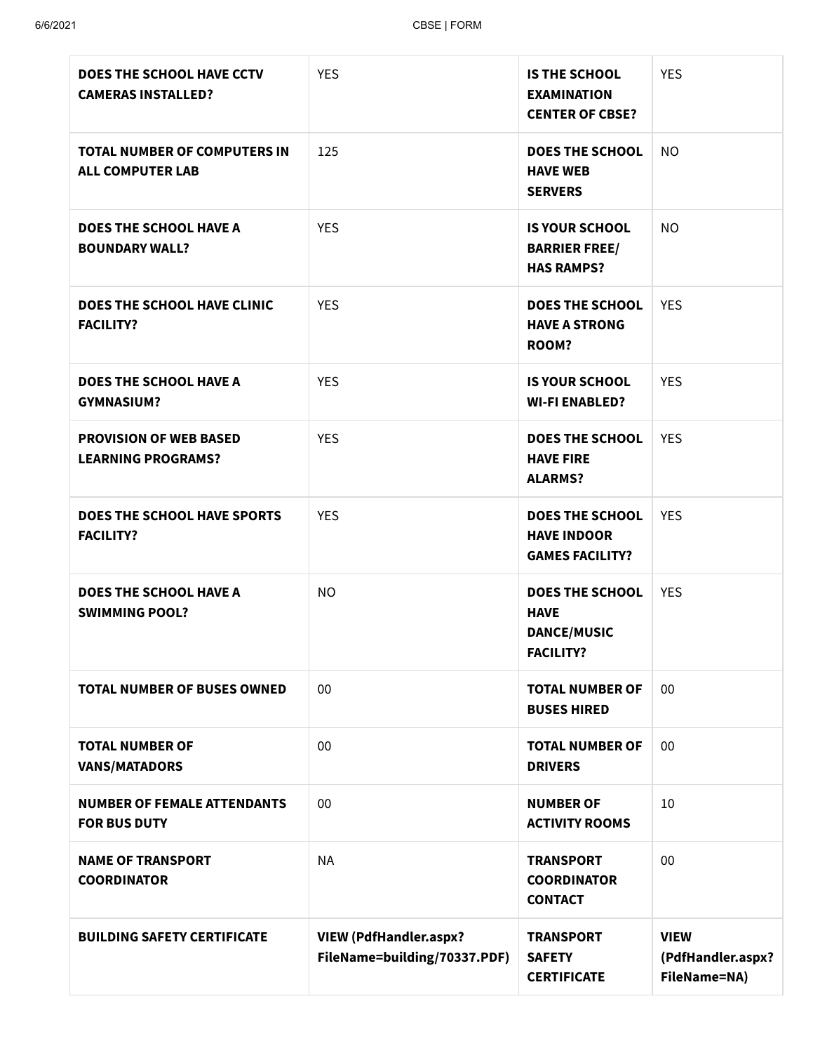| DOES THE SCHOOL HAVE CCTV<br><b>CAMERAS INSTALLED?</b>         | <b>YES</b>                                                    | <b>IS THE SCHOOL</b><br><b>EXAMINATION</b><br><b>CENTER OF CBSE?</b>            | <b>YES</b>                                       |
|----------------------------------------------------------------|---------------------------------------------------------------|---------------------------------------------------------------------------------|--------------------------------------------------|
| <b>TOTAL NUMBER OF COMPUTERS IN</b><br><b>ALL COMPUTER LAB</b> | 125                                                           | <b>DOES THE SCHOOL</b><br><b>HAVE WEB</b><br><b>SERVERS</b>                     | <b>NO</b>                                        |
| <b>DOES THE SCHOOL HAVE A</b><br><b>BOUNDARY WALL?</b>         | <b>YES</b>                                                    | <b>IS YOUR SCHOOL</b><br><b>BARRIER FREE/</b><br><b>HAS RAMPS?</b>              | <b>NO</b>                                        |
| DOES THE SCHOOL HAVE CLINIC<br><b>FACILITY?</b>                | <b>YES</b>                                                    | <b>DOES THE SCHOOL</b><br><b>HAVE A STRONG</b><br><b>ROOM?</b>                  | <b>YES</b>                                       |
| <b>DOES THE SCHOOL HAVE A</b><br><b>GYMNASIUM?</b>             | <b>YES</b>                                                    | <b>IS YOUR SCHOOL</b><br><b>WI-FI ENABLED?</b>                                  | <b>YES</b>                                       |
| <b>PROVISION OF WEB BASED</b><br><b>LEARNING PROGRAMS?</b>     | <b>YES</b>                                                    | <b>DOES THE SCHOOL</b><br><b>HAVE FIRE</b><br><b>ALARMS?</b>                    | <b>YES</b>                                       |
| <b>DOES THE SCHOOL HAVE SPORTS</b><br><b>FACILITY?</b>         | <b>YES</b>                                                    | <b>DOES THE SCHOOL</b><br><b>HAVE INDOOR</b><br><b>GAMES FACILITY?</b>          | <b>YES</b>                                       |
| <b>DOES THE SCHOOL HAVE A</b><br><b>SWIMMING POOL?</b>         | <b>NO</b>                                                     | <b>DOES THE SCHOOL</b><br><b>HAVE</b><br><b>DANCE/MUSIC</b><br><b>FACILITY?</b> | <b>YES</b>                                       |
| <b>TOTAL NUMBER OF BUSES OWNED</b>                             | 00                                                            | <b>TOTAL NUMBER OF</b><br><b>BUSES HIRED</b>                                    | $00\,$                                           |
| <b>TOTAL NUMBER OF</b><br><b>VANS/MATADORS</b>                 | 00                                                            | <b>TOTAL NUMBER OF</b><br><b>DRIVERS</b>                                        | 00                                               |
| <b>NUMBER OF FEMALE ATTENDANTS</b><br><b>FOR BUS DUTY</b>      | 00                                                            | <b>NUMBER OF</b><br><b>ACTIVITY ROOMS</b>                                       | 10                                               |
| <b>NAME OF TRANSPORT</b><br><b>COORDINATOR</b>                 | <b>NA</b>                                                     | <b>TRANSPORT</b><br><b>COORDINATOR</b><br><b>CONTACT</b>                        | 00                                               |
| <b>BUILDING SAFETY CERTIFICATE</b>                             | <b>VIEW (PdfHandler.aspx?</b><br>FileName=building/70337.PDF) | <b>TRANSPORT</b><br><b>SAFETY</b><br><b>CERTIFICATE</b>                         | <b>VIEW</b><br>(PdfHandler.aspx?<br>FileName=NA) |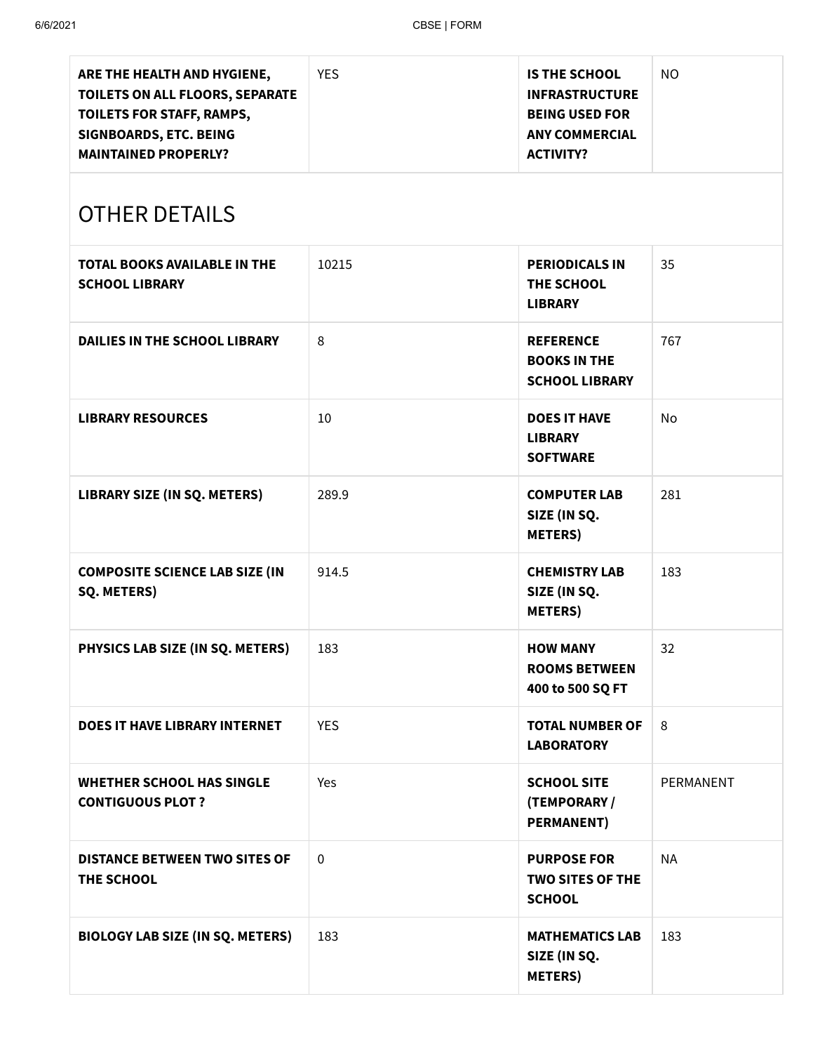| ARE THE HEALTH AND HYGIENE,<br>TOILETS ON ALL FLOORS, SEPARATE<br>TOILETS FOR STAFF, RAMPS,<br>SIGNBOARDS, ETC. BEING<br><b>MAINTAINED PROPERLY?</b> | <b>YES</b>  | <b>IS THE SCHOOL</b><br><b>INFRASTRUCTURE</b><br><b>BEING USED FOR</b><br><b>ANY COMMERCIAL</b><br><b>ACTIVITY?</b> | <b>NO</b> |
|------------------------------------------------------------------------------------------------------------------------------------------------------|-------------|---------------------------------------------------------------------------------------------------------------------|-----------|
| <b>OTHER DETAILS</b>                                                                                                                                 |             |                                                                                                                     |           |
| <b>TOTAL BOOKS AVAILABLE IN THE</b><br><b>SCHOOL LIBRARY</b>                                                                                         | 10215       | <b>PERIODICALS IN</b><br>THE SCHOOL<br><b>LIBRARY</b>                                                               | 35        |
| <b>DAILIES IN THE SCHOOL LIBRARY</b>                                                                                                                 | 8           | <b>REFERENCE</b><br><b>BOOKS IN THE</b><br><b>SCHOOL LIBRARY</b>                                                    | 767       |
| <b>LIBRARY RESOURCES</b>                                                                                                                             | 10          | <b>DOES IT HAVE</b><br><b>LIBRARY</b><br><b>SOFTWARE</b>                                                            | No        |
| LIBRARY SIZE (IN SQ. METERS)                                                                                                                         | 289.9       | <b>COMPUTER LAB</b><br>SIZE (IN SQ.<br><b>METERS</b> )                                                              | 281       |
| <b>COMPOSITE SCIENCE LAB SIZE (IN</b><br>SQ. METERS)                                                                                                 | 914.5       | <b>CHEMISTRY LAB</b><br>SIZE (IN SQ.<br><b>METERS</b> )                                                             | 183       |
| PHYSICS LAB SIZE (IN SQ. METERS)                                                                                                                     | 183         | <b>HOW MANY</b><br><b>ROOMS BETWEEN</b><br>400 to 500 SQ FT                                                         | 32        |
| <b>DOES IT HAVE LIBRARY INTERNET</b>                                                                                                                 | <b>YES</b>  | <b>TOTAL NUMBER OF</b><br><b>LABORATORY</b>                                                                         | 8         |
| <b>WHETHER SCHOOL HAS SINGLE</b><br><b>CONTIGUOUS PLOT ?</b>                                                                                         | Yes         | <b>SCHOOL SITE</b><br>(TEMPORARY /<br><b>PERMANENT)</b>                                                             | PERMANENT |
| <b>DISTANCE BETWEEN TWO SITES OF</b><br>THE SCHOOL                                                                                                   | $\mathbf 0$ | <b>PURPOSE FOR</b><br><b>TWO SITES OF THE</b><br><b>SCHOOL</b>                                                      | <b>NA</b> |
| <b>BIOLOGY LAB SIZE (IN SQ. METERS)</b>                                                                                                              | 183         | <b>MATHEMATICS LAB</b><br>SIZE (IN SQ.<br><b>METERS</b> )                                                           | 183       |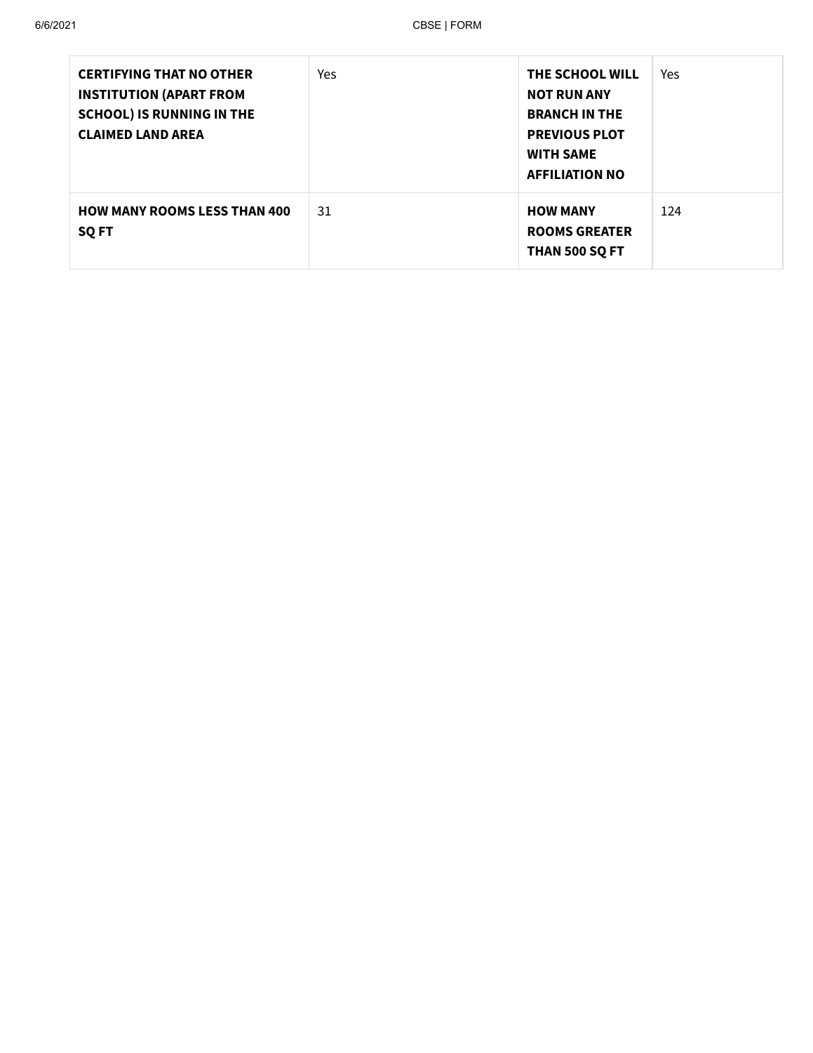| <b>CERTIFYING THAT NO OTHER</b><br><b>INSTITUTION (APART FROM</b><br><b>SCHOOL) IS RUNNING IN THE</b><br><b>CLAIMED LAND AREA</b> | Yes | THE SCHOOL WILL<br><b>NOT RUN ANY</b><br><b>BRANCH IN THE</b><br><b>PREVIOUS PLOT</b><br><b>WITH SAME</b><br><b>AFFILIATION NO</b> | Yes |
|-----------------------------------------------------------------------------------------------------------------------------------|-----|------------------------------------------------------------------------------------------------------------------------------------|-----|
| <b>HOW MANY ROOMS LESS THAN 400</b><br><b>SQ FT</b>                                                                               | 31  | <b>HOW MANY</b><br><b>ROOMS GREATER</b><br>THAN 500 SQ FT                                                                          | 124 |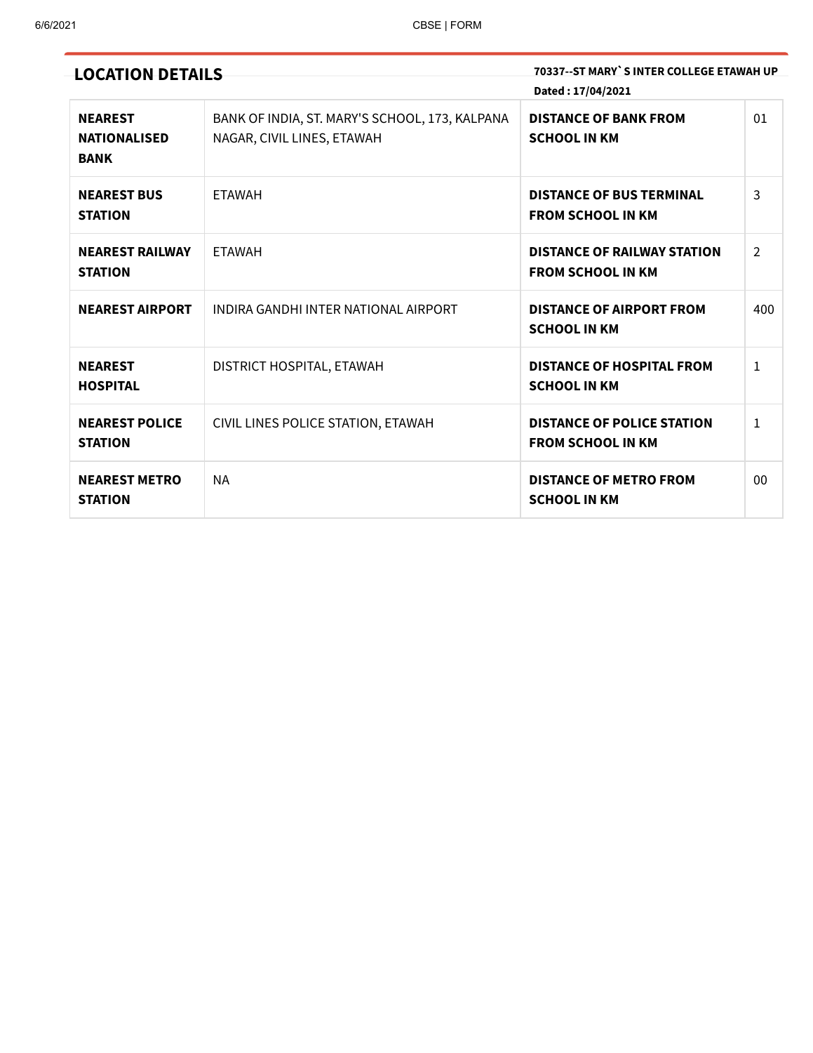| <b>LOCATION DETAILS</b>                              |                                                                              | 70337--ST MARY`S INTER COLLEGE ETAWAH UP<br>Dated: 17/04/2021  |                |
|------------------------------------------------------|------------------------------------------------------------------------------|----------------------------------------------------------------|----------------|
| <b>NEAREST</b><br><b>NATIONALISED</b><br><b>BANK</b> | BANK OF INDIA, ST. MARY'S SCHOOL, 173, KALPANA<br>NAGAR, CIVIL LINES, ETAWAH | <b>DISTANCE OF BANK FROM</b><br><b>SCHOOL IN KM</b>            | 01             |
| <b>NEAREST BUS</b><br><b>STATION</b>                 | <b>ETAWAH</b>                                                                | <b>DISTANCE OF BUS TERMINAL</b><br><b>FROM SCHOOL IN KM</b>    | 3              |
| <b>NEAREST RAILWAY</b><br><b>STATION</b>             | <b>ETAWAH</b>                                                                | <b>DISTANCE OF RAILWAY STATION</b><br><b>FROM SCHOOL IN KM</b> | $\overline{2}$ |
| <b>NEAREST AIRPORT</b>                               | INDIRA GANDHI INTER NATIONAL AIRPORT                                         | <b>DISTANCE OF AIRPORT FROM</b><br><b>SCHOOL IN KM</b>         | 400            |
| <b>NEAREST</b><br><b>HOSPITAL</b>                    | DISTRICT HOSPITAL, ETAWAH                                                    | <b>DISTANCE OF HOSPITAL FROM</b><br><b>SCHOOL IN KM</b>        | $\mathbf{1}$   |
| <b>NEAREST POLICE</b><br><b>STATION</b>              | CIVIL LINES POLICE STATION, ETAWAH                                           | <b>DISTANCE OF POLICE STATION</b><br><b>FROM SCHOOL IN KM</b>  | 1              |
| <b>NEAREST METRO</b><br><b>STATION</b>               | <b>NA</b>                                                                    | <b>DISTANCE OF METRO FROM</b><br><b>SCHOOL IN KM</b>           | 00             |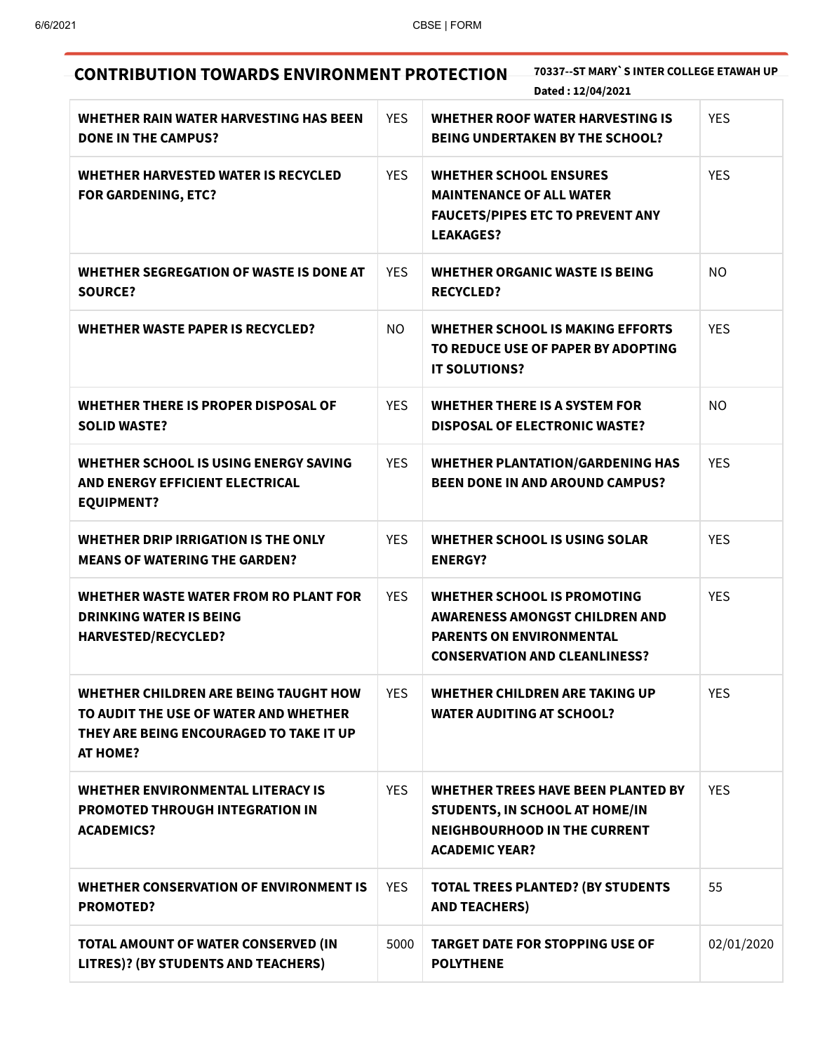| 70337--ST MARY`S INTER COLLEGE ETAWAH UP<br><b>CONTRIBUTION TOWARDS ENVIRONMENT PROTECTION</b><br>Dated: 12/04/2021                          |            |                                                                                                                                                        |            |  |
|----------------------------------------------------------------------------------------------------------------------------------------------|------------|--------------------------------------------------------------------------------------------------------------------------------------------------------|------------|--|
| WHETHER RAIN WATER HARVESTING HAS BEEN<br><b>DONE IN THE CAMPUS?</b>                                                                         | <b>YES</b> | <b>WHETHER ROOF WATER HARVESTING IS</b><br><b>BEING UNDERTAKEN BY THE SCHOOL?</b>                                                                      | <b>YES</b> |  |
| <b>WHETHER HARVESTED WATER IS RECYCLED</b><br><b>FOR GARDENING, ETC?</b>                                                                     | <b>YES</b> | <b>WHETHER SCHOOL ENSURES</b><br><b>MAINTENANCE OF ALL WATER</b><br><b>FAUCETS/PIPES ETC TO PREVENT ANY</b><br><b>LEAKAGES?</b>                        | <b>YES</b> |  |
| WHETHER SEGREGATION OF WASTE IS DONE AT<br><b>SOURCE?</b>                                                                                    | <b>YES</b> | <b>WHETHER ORGANIC WASTE IS BEING</b><br><b>RECYCLED?</b>                                                                                              | NO.        |  |
| <b>WHETHER WASTE PAPER IS RECYCLED?</b>                                                                                                      | NO.        | <b>WHETHER SCHOOL IS MAKING EFFORTS</b><br>TO REDUCE USE OF PAPER BY ADOPTING<br><b>IT SOLUTIONS?</b>                                                  | <b>YES</b> |  |
| <b>WHETHER THERE IS PROPER DISPOSAL OF</b><br><b>SOLID WASTE?</b>                                                                            | <b>YES</b> | <b>WHETHER THERE IS A SYSTEM FOR</b><br><b>DISPOSAL OF ELECTRONIC WASTE?</b>                                                                           | <b>NO</b>  |  |
| WHETHER SCHOOL IS USING ENERGY SAVING<br>AND ENERGY EFFICIENT ELECTRICAL<br><b>EQUIPMENT?</b>                                                | <b>YES</b> | <b>WHETHER PLANTATION/GARDENING HAS</b><br><b>BEEN DONE IN AND AROUND CAMPUS?</b>                                                                      | <b>YES</b> |  |
| WHETHER DRIP IRRIGATION IS THE ONLY<br><b>MEANS OF WATERING THE GARDEN?</b>                                                                  | <b>YES</b> | WHETHER SCHOOL IS USING SOLAR<br><b>ENERGY?</b>                                                                                                        | <b>YES</b> |  |
| WHETHER WASTE WATER FROM RO PLANT FOR<br><b>DRINKING WATER IS BEING</b><br><b>HARVESTED/RECYCLED?</b>                                        | <b>YES</b> | <b>WHETHER SCHOOL IS PROMOTING</b><br><b>AWARENESS AMONGST CHILDREN AND</b><br><b>PARENTS ON ENVIRONMENTAL</b><br><b>CONSERVATION AND CLEANLINESS?</b> | <b>YES</b> |  |
| WHETHER CHILDREN ARE BEING TAUGHT HOW<br>TO AUDIT THE USE OF WATER AND WHETHER<br>THEY ARE BEING ENCOURAGED TO TAKE IT UP<br><b>AT HOME?</b> | <b>YES</b> | WHETHER CHILDREN ARE TAKING UP<br><b>WATER AUDITING AT SCHOOL?</b>                                                                                     | <b>YES</b> |  |
| <b>WHETHER ENVIRONMENTAL LITERACY IS</b><br><b>PROMOTED THROUGH INTEGRATION IN</b><br><b>ACADEMICS?</b>                                      | <b>YES</b> | <b>WHETHER TREES HAVE BEEN PLANTED BY</b><br>STUDENTS, IN SCHOOL AT HOME/IN<br><b>NEIGHBOURHOOD IN THE CURRENT</b><br><b>ACADEMIC YEAR?</b>            | <b>YES</b> |  |
| <b>WHETHER CONSERVATION OF ENVIRONMENT IS</b><br><b>PROMOTED?</b>                                                                            | <b>YES</b> | <b>TOTAL TREES PLANTED? (BY STUDENTS</b><br><b>AND TEACHERS)</b>                                                                                       | 55         |  |
| TOTAL AMOUNT OF WATER CONSERVED (IN<br>LITRES)? (BY STUDENTS AND TEACHERS)                                                                   | 5000       | <b>TARGET DATE FOR STOPPING USE OF</b><br><b>POLYTHENE</b>                                                                                             | 02/01/2020 |  |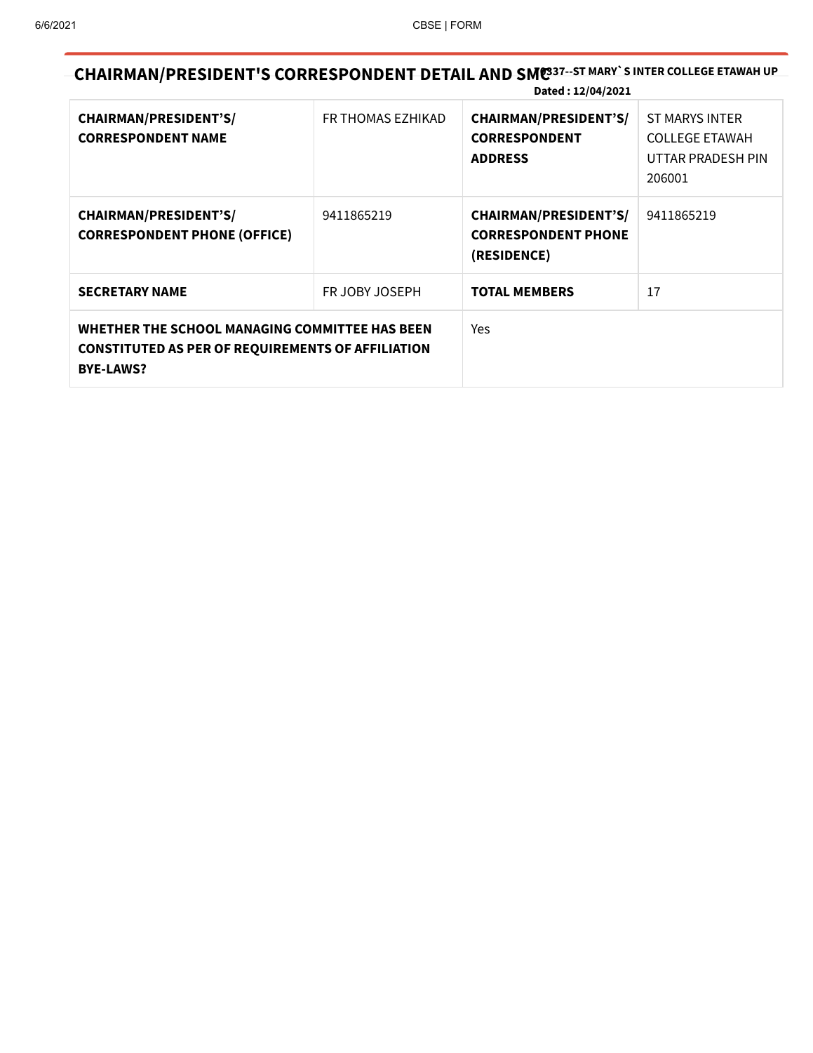**CHAIRMAN/PRESIDENT'S CORRESPONDENT DETAIL AND SM<sup>7</sup>C0337--ST MARY`S INTER COLLEGE ETAWAH UP Dated : 12/04/2021**

|                                                                                                                                |                   | $\boldsymbol{\mu}$ alcu $\boldsymbol{\mu}$ . 12/04/2021                   |                                                                        |
|--------------------------------------------------------------------------------------------------------------------------------|-------------------|---------------------------------------------------------------------------|------------------------------------------------------------------------|
| <b>CHAIRMAN/PRESIDENT'S/</b><br><b>CORRESPONDENT NAME</b>                                                                      | FR THOMAS EZHIKAD | <b>CHAIRMAN/PRESIDENT'S/</b><br><b>CORRESPONDENT</b><br><b>ADDRESS</b>    | ST MARYS INTER<br><b>COLLEGE ETAWAH</b><br>UTTAR PRADESH PIN<br>206001 |
| <b>CHAIRMAN/PRESIDENT'S/</b><br><b>CORRESPONDENT PHONE (OFFICE)</b>                                                            | 9411865219        | <b>CHAIRMAN/PRESIDENT'S/</b><br><b>CORRESPONDENT PHONE</b><br>(RESIDENCE) | 9411865219                                                             |
| <b>SECRETARY NAME</b>                                                                                                          | FR JOBY JOSEPH    | <b>TOTAL MEMBERS</b>                                                      | 17                                                                     |
| WHETHER THE SCHOOL MANAGING COMMITTEE HAS BEEN<br><b>CONSTITUTED AS PER OF REQUIREMENTS OF AFFILIATION</b><br><b>BYE-LAWS?</b> |                   | Yes                                                                       |                                                                        |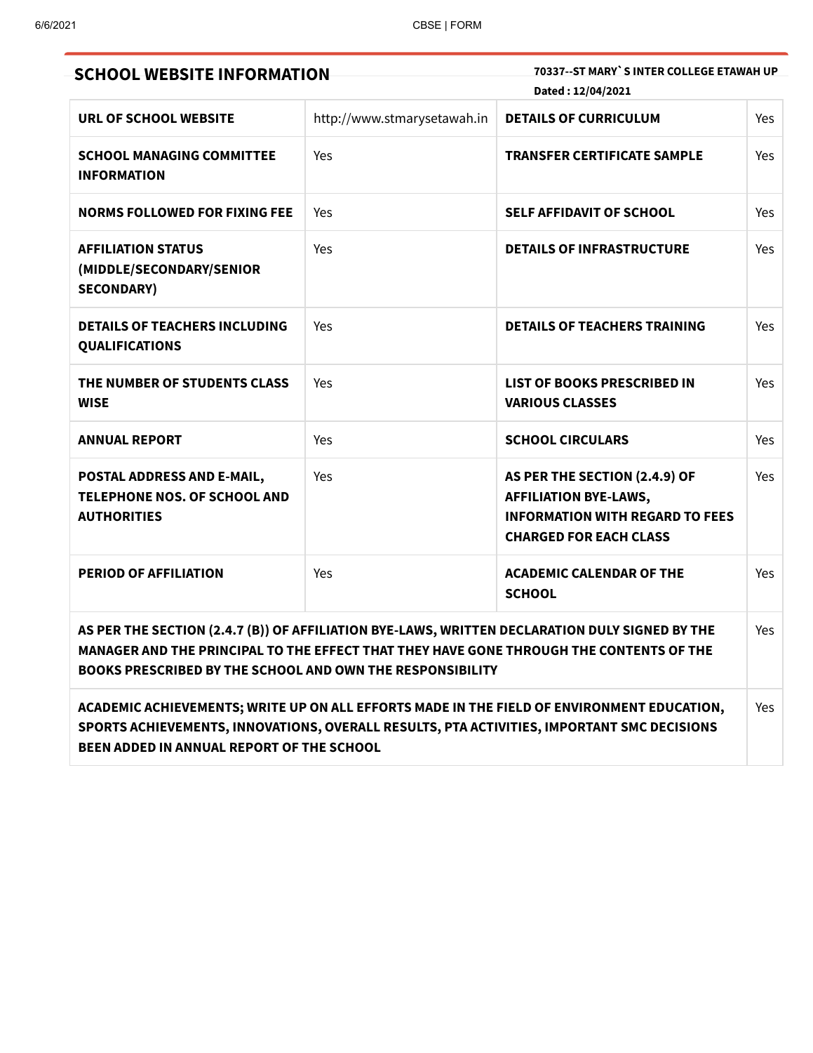| <b>SCHOOL WEBSITE INFORMATION</b>                                                                                                                                                                                                                             |                             | 70337--ST MARY`S INTER COLLEGE ETAWAH UP<br>Dated: 12/04/2021                                                                            |            |  |
|---------------------------------------------------------------------------------------------------------------------------------------------------------------------------------------------------------------------------------------------------------------|-----------------------------|------------------------------------------------------------------------------------------------------------------------------------------|------------|--|
| URL OF SCHOOL WEBSITE                                                                                                                                                                                                                                         | http://www.stmarysetawah.in | <b>DETAILS OF CURRICULUM</b>                                                                                                             | <b>Yes</b> |  |
| <b>SCHOOL MANAGING COMMITTEE</b><br><b>INFORMATION</b>                                                                                                                                                                                                        | Yes                         | <b>TRANSFER CERTIFICATE SAMPLE</b>                                                                                                       | Yes        |  |
| <b>NORMS FOLLOWED FOR FIXING FEE</b>                                                                                                                                                                                                                          | Yes                         | <b>SELF AFFIDAVIT OF SCHOOL</b>                                                                                                          | Yes        |  |
| <b>AFFILIATION STATUS</b><br>(MIDDLE/SECONDARY/SENIOR<br><b>SECONDARY)</b>                                                                                                                                                                                    | Yes                         | <b>DETAILS OF INFRASTRUCTURE</b>                                                                                                         | Yes        |  |
| <b>DETAILS OF TEACHERS INCLUDING</b><br><b>QUALIFICATIONS</b>                                                                                                                                                                                                 | Yes                         | <b>DETAILS OF TEACHERS TRAINING</b>                                                                                                      | Yes        |  |
| THE NUMBER OF STUDENTS CLASS<br><b>WISE</b>                                                                                                                                                                                                                   | Yes                         | <b>LIST OF BOOKS PRESCRIBED IN</b><br><b>VARIOUS CLASSES</b>                                                                             | Yes        |  |
| <b>ANNUAL REPORT</b>                                                                                                                                                                                                                                          | Yes                         | <b>SCHOOL CIRCULARS</b>                                                                                                                  | Yes        |  |
| POSTAL ADDRESS AND E-MAIL,<br>TELEPHONE NOS. OF SCHOOL AND<br><b>AUTHORITIES</b>                                                                                                                                                                              | Yes                         | AS PER THE SECTION (2.4.9) OF<br><b>AFFILIATION BYE-LAWS,</b><br><b>INFORMATION WITH REGARD TO FEES</b><br><b>CHARGED FOR EACH CLASS</b> | Yes        |  |
| <b>PERIOD OF AFFILIATION</b>                                                                                                                                                                                                                                  | Yes                         | <b>ACADEMIC CALENDAR OF THE</b><br><b>SCHOOL</b>                                                                                         | Yes        |  |
| AS PER THE SECTION (2.4.7 (B)) OF AFFILIATION BYE-LAWS, WRITTEN DECLARATION DULY SIGNED BY THE<br>MANAGER AND THE PRINCIPAL TO THE EFFECT THAT THEY HAVE GONE THROUGH THE CONTENTS OF THE<br><b>BOOKS PRESCRIBED BY THE SCHOOL AND OWN THE RESPONSIBILITY</b> |                             |                                                                                                                                          | Yes        |  |
| SPORTS ACHIEVEMENTS, INNOVATIONS, OVERALL RESULTS, PTA ACTIVITIES, IMPORTANT SMC DECISIONS<br>BEEN ADDED IN ANNUAL REPORT OF THE SCHOOL                                                                                                                       |                             | ACADEMIC ACHIEVEMENTS; WRITE UP ON ALL EFFORTS MADE IN THE FIELD OF ENVIRONMENT EDUCATION,                                               | Yes        |  |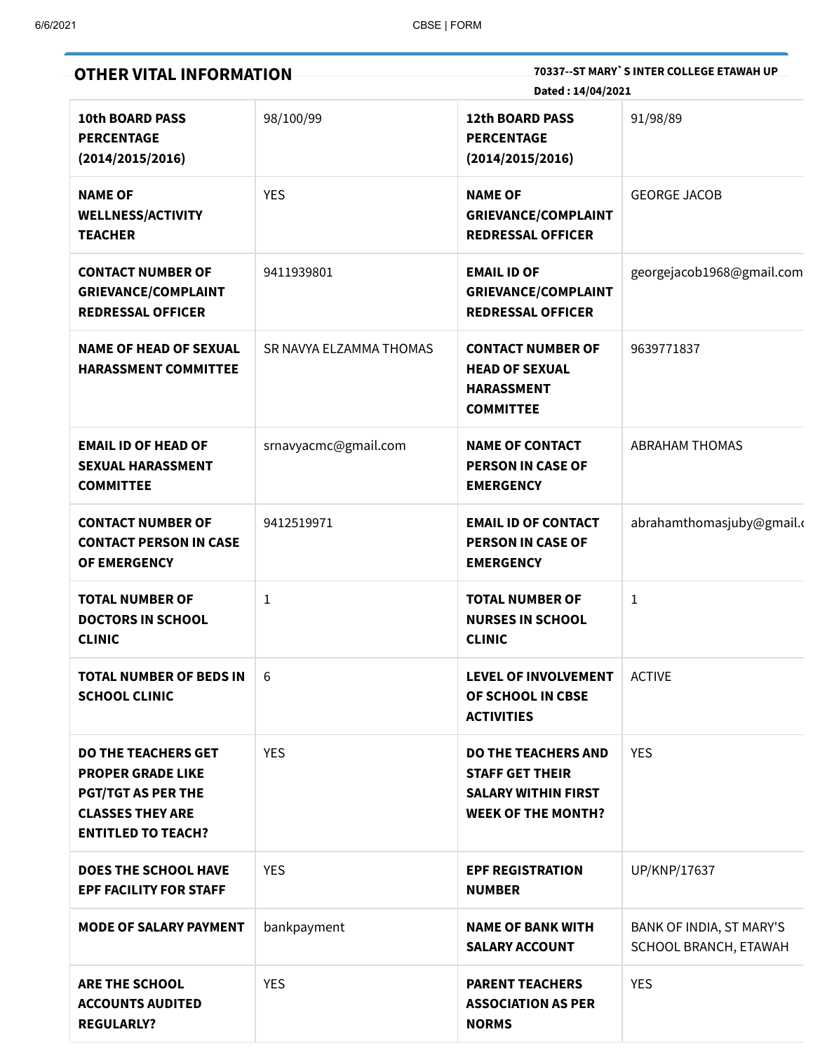| <b>OTHER VITAL INFORMATION</b>                                                                                                              |                         | 70337--ST MARY`S INTER COLLEGE ETAWAH UP<br>Dated: 14/04/2021                                                   |                                                   |  |
|---------------------------------------------------------------------------------------------------------------------------------------------|-------------------------|-----------------------------------------------------------------------------------------------------------------|---------------------------------------------------|--|
| <b>10th BOARD PASS</b><br><b>PERCENTAGE</b><br>(2014/2015/2016)                                                                             | 98/100/99               | <b>12th BOARD PASS</b><br><b>PERCENTAGE</b><br>(2014/2015/2016)                                                 | 91/98/89                                          |  |
| <b>NAME OF</b><br><b>WELLNESS/ACTIVITY</b><br><b>TEACHER</b>                                                                                | <b>YES</b>              | <b>NAME OF</b><br><b>GRIEVANCE/COMPLAINT</b><br><b>REDRESSAL OFFICER</b>                                        | <b>GEORGE JACOB</b>                               |  |
| <b>CONTACT NUMBER OF</b><br><b>GRIEVANCE/COMPLAINT</b><br><b>REDRESSAL OFFICER</b>                                                          | 9411939801              | <b>EMAIL ID OF</b><br><b>GRIEVANCE/COMPLAINT</b><br><b>REDRESSAL OFFICER</b>                                    | georgejacob1968@gmail.com                         |  |
| <b>NAME OF HEAD OF SEXUAL</b><br><b>HARASSMENT COMMITTEE</b>                                                                                | SR NAVYA ELZAMMA THOMAS | <b>CONTACT NUMBER OF</b><br><b>HEAD OF SEXUAL</b><br><b>HARASSMENT</b><br><b>COMMITTEE</b>                      | 9639771837                                        |  |
| <b>EMAIL ID OF HEAD OF</b><br><b>SEXUAL HARASSMENT</b><br><b>COMMITTEE</b>                                                                  | srnavyacmc@gmail.com    | <b>NAME OF CONTACT</b><br><b>PERSON IN CASE OF</b><br><b>EMERGENCY</b>                                          | <b>ABRAHAM THOMAS</b>                             |  |
| <b>CONTACT NUMBER OF</b><br><b>CONTACT PERSON IN CASE</b><br>OF EMERGENCY                                                                   | 9412519971              | <b>EMAIL ID OF CONTACT</b><br><b>PERSON IN CASE OF</b><br><b>EMERGENCY</b>                                      | abrahamthomasjuby@gmail.c                         |  |
| <b>TOTAL NUMBER OF</b><br><b>DOCTORS IN SCHOOL</b><br><b>CLINIC</b>                                                                         | 1                       | <b>TOTAL NUMBER OF</b><br><b>NURSES IN SCHOOL</b><br><b>CLINIC</b>                                              | $\mathbf{1}$                                      |  |
| <b>TOTAL NUMBER OF BEDS IN</b><br><b>SCHOOL CLINIC</b>                                                                                      | 6                       | <b>LEVEL OF INVOLVEMENT</b><br>OF SCHOOL IN CBSE<br><b>ACTIVITIES</b>                                           | <b>ACTIVE</b>                                     |  |
| <b>DO THE TEACHERS GET</b><br><b>PROPER GRADE LIKE</b><br><b>PGT/TGT AS PER THE</b><br><b>CLASSES THEY ARE</b><br><b>ENTITLED TO TEACH?</b> | <b>YES</b>              | <b>DO THE TEACHERS AND</b><br><b>STAFF GET THEIR</b><br><b>SALARY WITHIN FIRST</b><br><b>WEEK OF THE MONTH?</b> | <b>YES</b>                                        |  |
| <b>DOES THE SCHOOL HAVE</b><br><b>EPF FACILITY FOR STAFF</b>                                                                                | <b>YES</b>              | <b>EPF REGISTRATION</b><br><b>NUMBER</b>                                                                        | UP/KNP/17637                                      |  |
| <b>MODE OF SALARY PAYMENT</b>                                                                                                               | bankpayment             | <b>NAME OF BANK WITH</b><br><b>SALARY ACCOUNT</b>                                                               | BANK OF INDIA, ST MARY'S<br>SCHOOL BRANCH, ETAWAH |  |
| <b>ARE THE SCHOOL</b><br><b>ACCOUNTS AUDITED</b><br><b>REGULARLY?</b>                                                                       | <b>YES</b>              | <b>PARENT TEACHERS</b><br><b>ASSOCIATION AS PER</b><br><b>NORMS</b>                                             | <b>YES</b>                                        |  |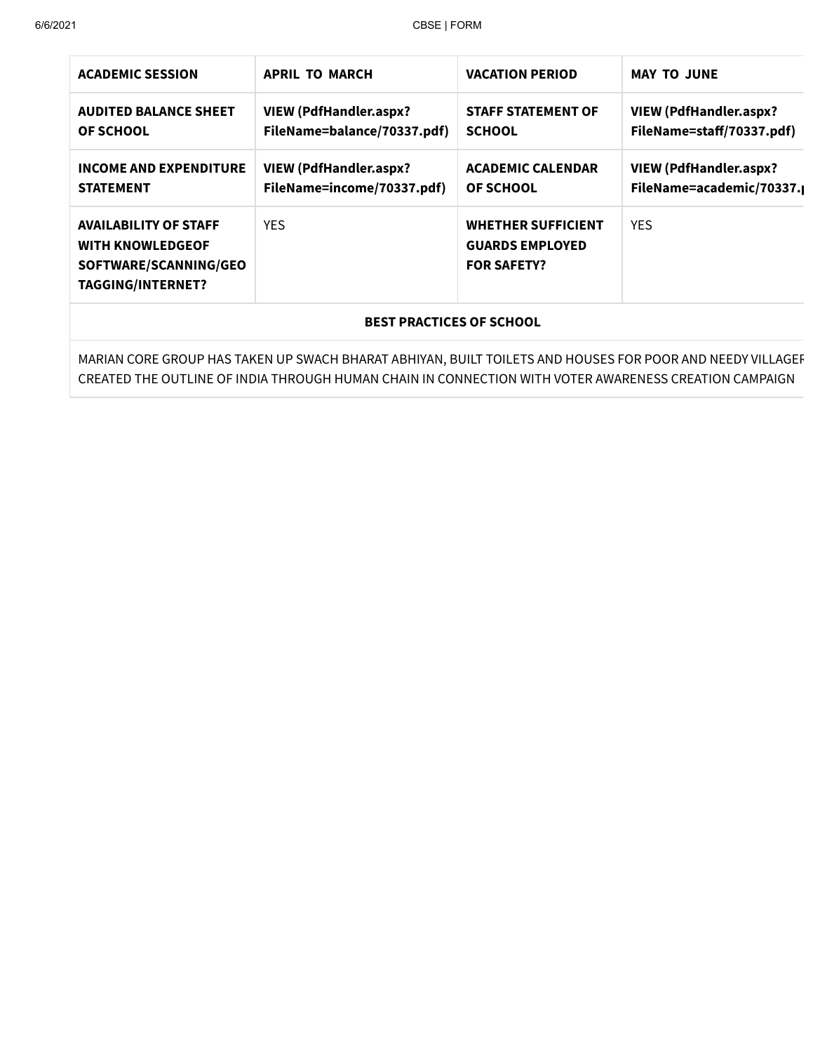| <b>ACADEMIC SESSION</b>                                                                                      | <b>APRIL TO MARCH</b>                                       | <b>VACATION PERIOD</b>                                                    | <b>MAY TO JUNE</b>                                        |  |
|--------------------------------------------------------------------------------------------------------------|-------------------------------------------------------------|---------------------------------------------------------------------------|-----------------------------------------------------------|--|
| <b>AUDITED BALANCE SHEET</b><br><b>OF SCHOOL</b>                                                             | VIEW (PdfHandler.aspx?<br>FileName=balance/70337.pdf)       | <b>STAFF STATEMENT OF</b><br><b>SCHOOL</b>                                | VIEW (PdfHandler.aspx?<br>FileName=staff/70337.pdf)       |  |
| <b>INCOME AND EXPENDITURE</b><br><b>STATEMENT</b>                                                            | <b>VIEW (PdfHandler.aspx?</b><br>FileName=income/70337.pdf) | <b>ACADEMIC CALENDAR</b><br><b>OF SCHOOL</b>                              | <b>VIEW (PdfHandler.aspx?</b><br>FileName=academic/70337. |  |
| <b>AVAILABILITY OF STAFF</b><br><b>WITH KNOWLEDGEOF</b><br>SOFTWARE/SCANNING/GEO<br><b>TAGGING/INTERNET?</b> | <b>YES</b>                                                  | <b>WHETHER SUFFICIENT</b><br><b>GUARDS EMPLOYED</b><br><b>FOR SAFETY?</b> | <b>YES</b>                                                |  |
| <b>BEST PRACTICES OF SCHOOL</b>                                                                              |                                                             |                                                                           |                                                           |  |
|                                                                                                              |                                                             |                                                                           |                                                           |  |

MARIAN CORE GROUP HAS TAKEN UP SWACH BHARAT ABHIYAN, BUILT TOILETS AND HOUSES FOR POOR AND NEEDY VILLAGER CREATED THE OUTLINE OF INDIA THROUGH HUMAN CHAIN IN CONNECTION WITH VOTER AWARENESS CREATION CAMPAIGN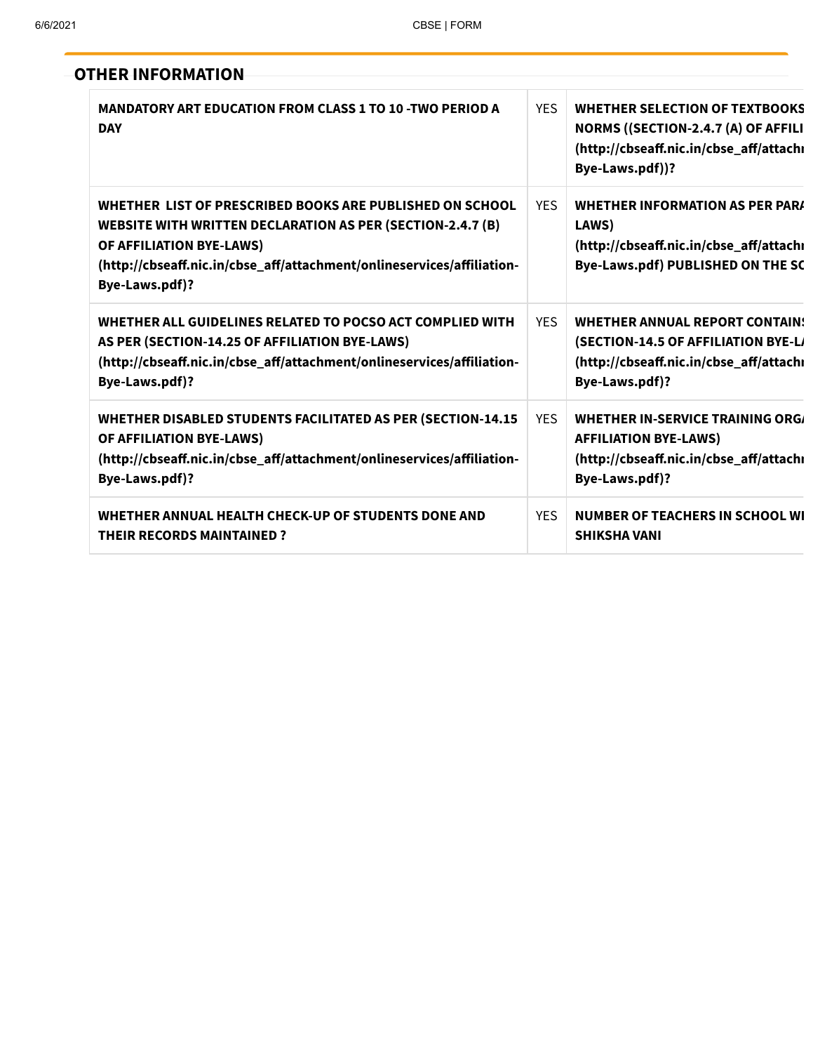**OTHER INFORMATION**

| <b>MANDATORY ART EDUCATION FROM CLASS 1 TO 10-TWO PERIOD A</b><br><b>DAY</b>                                                                                                                                                                          | <b>YES</b> | <b>WHETHER SELECTION OF TEXTBOOKS</b><br>NORMS ((SECTION-2.4.7 (A) OF AFFILI<br>(http://cbseaff.nic.in/cbse_aff/attachi<br>Bye-Laws.pdf))? |
|-------------------------------------------------------------------------------------------------------------------------------------------------------------------------------------------------------------------------------------------------------|------------|--------------------------------------------------------------------------------------------------------------------------------------------|
| WHETHER LIST OF PRESCRIBED BOOKS ARE PUBLISHED ON SCHOOL<br><b>WEBSITE WITH WRITTEN DECLARATION AS PER (SECTION-2.4.7 (B)</b><br>OF AFFILIATION BYE-LAWS)<br>(http://cbseaff.nic.in/cbse_aff/attachment/onlineservices/affiliation-<br>Bye-Laws.pdf)? | <b>YES</b> | <b>WHETHER INFORMATION AS PER PARA</b><br>LAWS)<br>(http://cbseaff.nic.in/cbse_aff/attachi<br>Bye-Laws.pdf) PUBLISHED ON THE SC            |
| WHETHER ALL GUIDELINES RELATED TO POCSO ACT COMPLIED WITH<br>AS PER (SECTION-14.25 OF AFFILIATION BYE-LAWS)<br>(http://cbseaff.nic.in/cbse_aff/attachment/onlineservices/affiliation-<br>Bye-Laws.pdf)?                                               | <b>YES</b> | <b>WHETHER ANNUAL REPORT CONTAIN:</b><br>(SECTION-14.5 OF AFFILIATION BYE-L)<br>(http://cbseaff.nic.in/cbse_aff/attachı<br>Bye-Laws.pdf)?  |
| WHETHER DISABLED STUDENTS FACILITATED AS PER (SECTION-14.15<br>OF AFFILIATION BYE-LAWS)<br>(http://cbseaff.nic.in/cbse_aff/attachment/onlineservices/affiliation-<br>Bye-Laws.pdf)?                                                                   | <b>YES</b> | WHETHER IN-SERVICE TRAINING ORG/<br><b>AFFILIATION BYE-LAWS)</b><br>(http://cbseaff.nic.in/cbse_aff/attachi<br>Bye-Laws.pdf)?              |
| WHETHER ANNUAL HEALTH CHECK-UP OF STUDENTS DONE AND<br><b>THEIR RECORDS MAINTAINED?</b>                                                                                                                                                               | <b>YES</b> | <b>NUMBER OF TEACHERS IN SCHOOL WI</b><br><b>SHIKSHA VANI</b>                                                                              |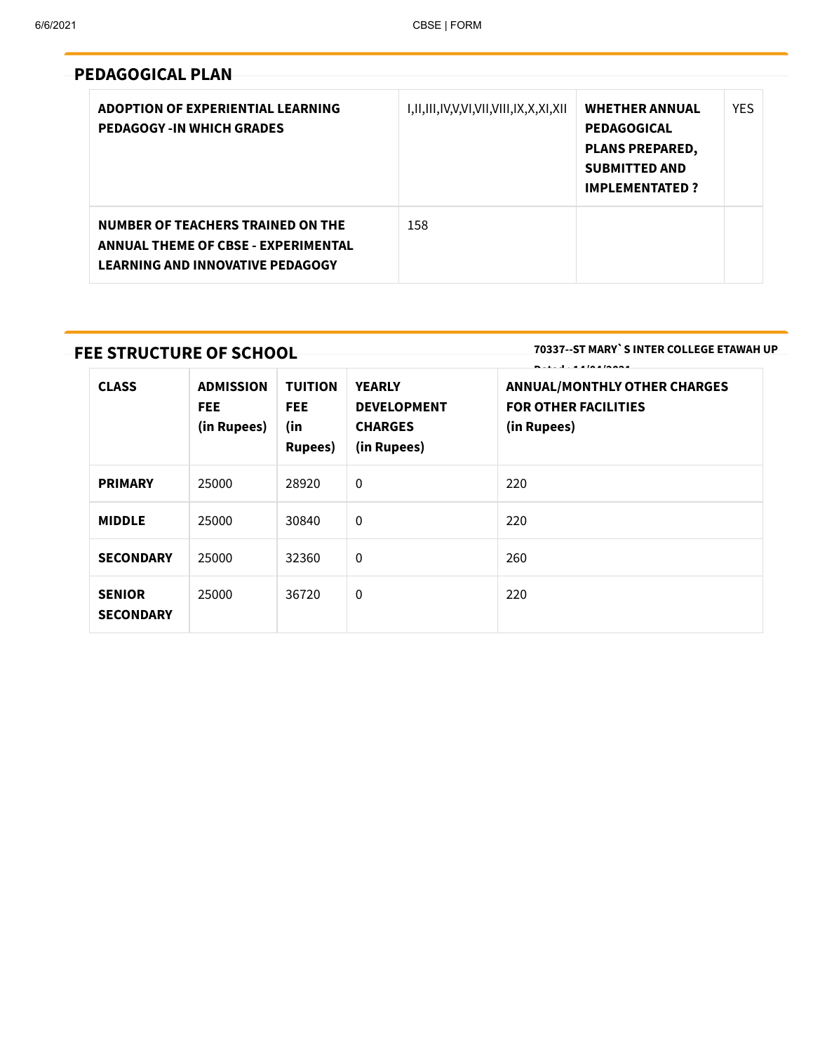## **PEDAGOGICAL PLAN**

| ADOPTION OF EXPERIENTIAL LEARNING<br><b>PEDAGOGY-IN WHICH GRADES</b>                                                              | I,II,III,IV,V,VI,VII,VIII,IX,X,XI,XII | <b>WHETHER ANNUAL</b><br><b>PEDAGOGICAL</b><br><b>PLANS PREPARED,</b><br><b>SUBMITTED AND</b><br><b>IMPLEMENTATED?</b> | <b>YES</b> |
|-----------------------------------------------------------------------------------------------------------------------------------|---------------------------------------|------------------------------------------------------------------------------------------------------------------------|------------|
| <b>NUMBER OF TEACHERS TRAINED ON THE</b><br><b>ANNUAL THEME OF CBSE - EXPERIMENTAL</b><br><b>LEARNING AND INNOVATIVE PEDAGOGY</b> | 158                                   |                                                                                                                        |            |

## **FEE STRUCTURE OF SCHOOL**

**70337--ST MARY`S INTER COLLEGE ETAWAH UP**

| <b>CLASS</b>                      | <b>ADMISSION</b><br>FEE.<br>(in Rupees) | <b>TUITION</b><br>FEE.<br>(in<br><b>Rupees</b> ) | <b>YEARLY</b><br><b>DEVELOPMENT</b><br><b>CHARGES</b><br>(in Rupees) | .<br><b>ANNUAL/MONTHLY OTHER CHARGES</b><br><b>FOR OTHER FACILITIES</b><br>(in Rupees) |
|-----------------------------------|-----------------------------------------|--------------------------------------------------|----------------------------------------------------------------------|----------------------------------------------------------------------------------------|
| <b>PRIMARY</b>                    | 25000                                   | 28920                                            | $\Omega$                                                             | 220                                                                                    |
| <b>MIDDLE</b>                     | 25000                                   | 30840                                            | $\mathbf 0$                                                          | 220                                                                                    |
| <b>SECONDARY</b>                  | 25000                                   | 32360                                            | $\mathbf 0$                                                          | 260                                                                                    |
| <b>SENIOR</b><br><b>SECONDARY</b> | 25000                                   | 36720                                            | $\mathbf 0$                                                          | 220                                                                                    |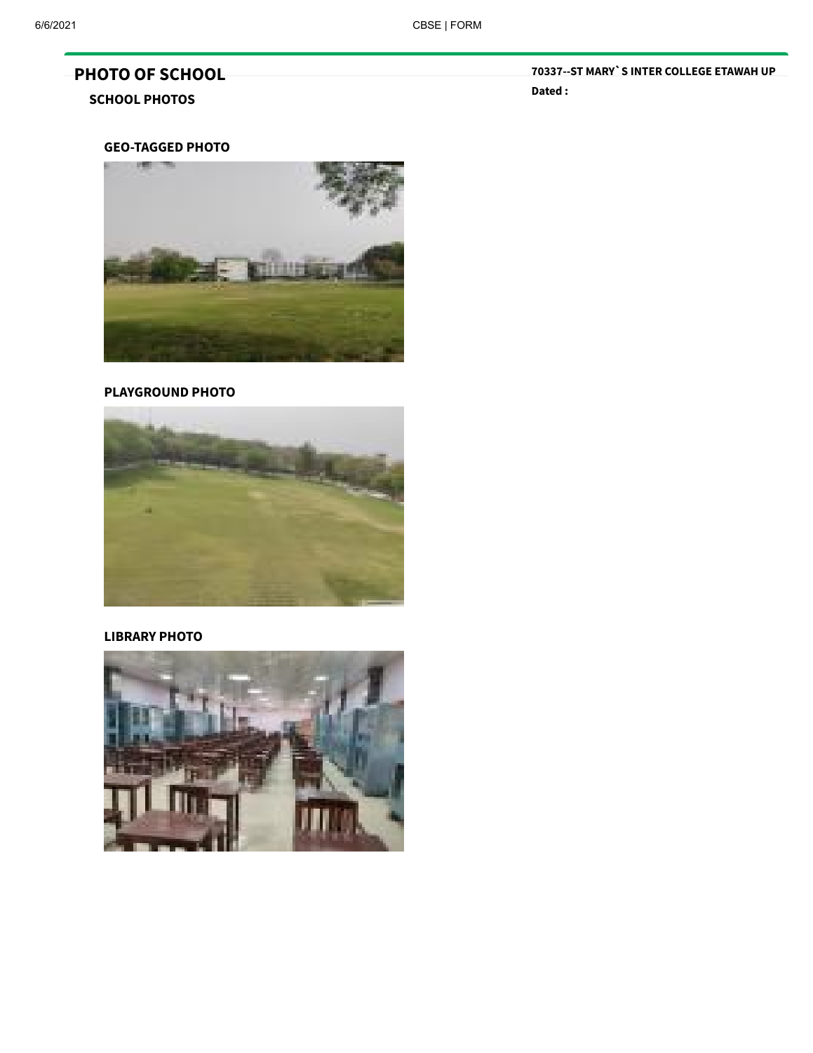# **PHOTO OF SCHOOL**

## **SCHOOL PHOTOS**

**70337--ST MARY`S INTER COLLEGE ETAWAH UP Dated :**

## **GEO-TAGGED PHOTO**



#### **PLAYGROUND PHOTO**



## **LIBRARY PHOTO**

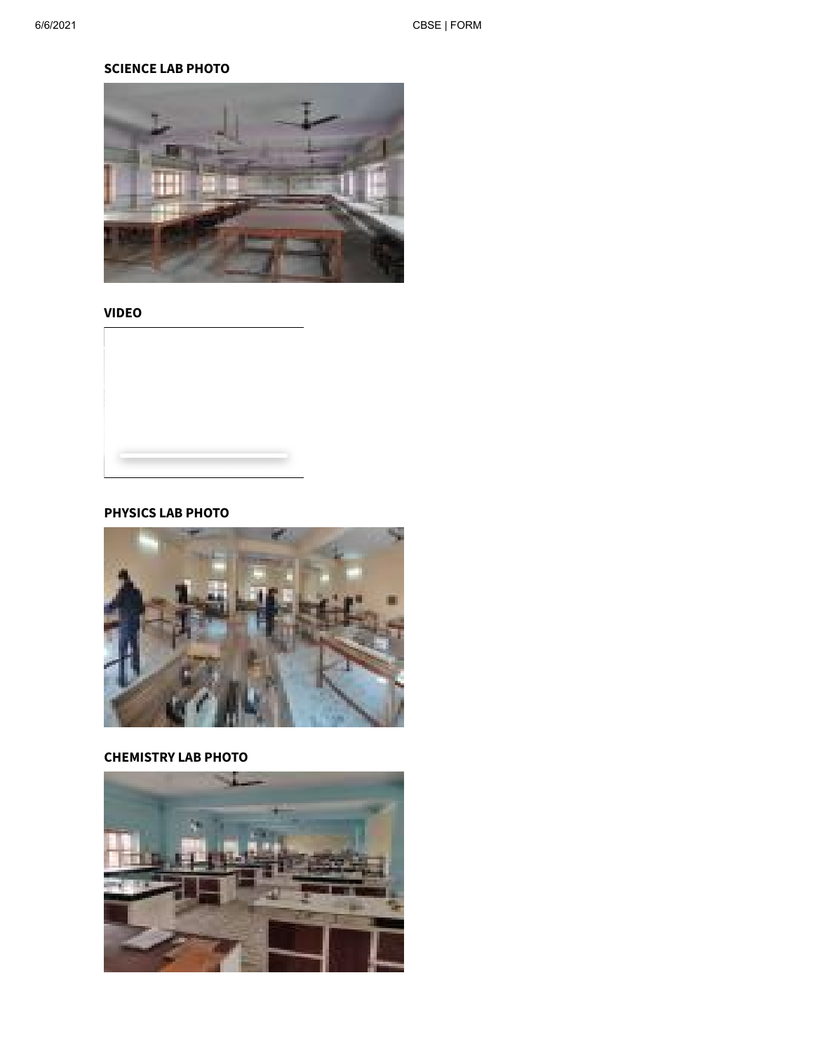## **SCIENCE LAB PHOTO**



**VIDEO**

## **PHYSICS LAB PHOTO**



## **CHEMISTRY LAB PHOTO**

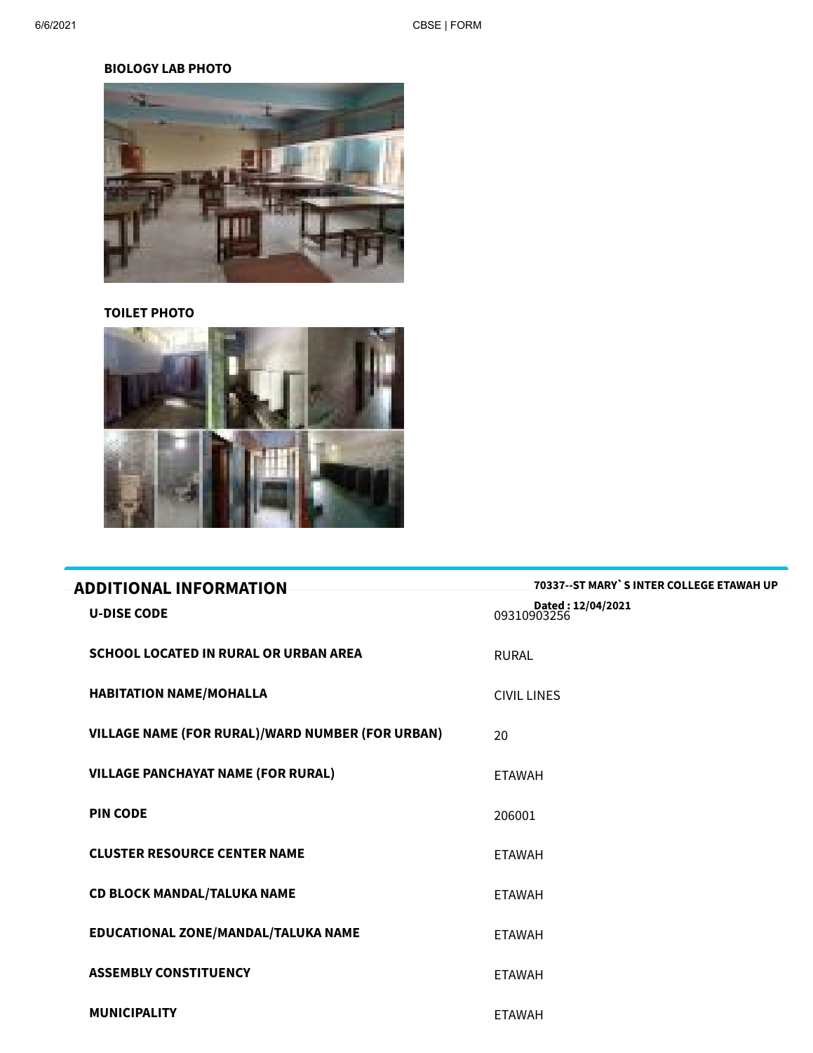## **BIOLOGY LAB PHOTO**



## **TOILET PHOTO**



| <b>ADDITIONAL INFORMATION</b>                           | 70337--ST MARY`S INTER COLLEGE ETAWAH UP |
|---------------------------------------------------------|------------------------------------------|
| <b>U-DISE CODE</b>                                      | Dated: 12/04/2021<br>09310903256         |
| <b>SCHOOL LOCATED IN RURAL OR URBAN AREA</b>            | <b>RURAL</b>                             |
| <b>HABITATION NAME/MOHALLA</b>                          | <b>CIVIL LINES</b>                       |
| <b>VILLAGE NAME (FOR RURAL)/WARD NUMBER (FOR URBAN)</b> | 20                                       |
| <b>VILLAGE PANCHAYAT NAME (FOR RURAL)</b>               | <b>ETAWAH</b>                            |
| <b>PIN CODE</b>                                         | 206001                                   |
| <b>CLUSTER RESOURCE CENTER NAME</b>                     | <b>ETAWAH</b>                            |
| <b>CD BLOCK MANDAL/TALUKA NAME</b>                      | <b>ETAWAH</b>                            |
| EDUCATIONAL ZONE/MANDAL/TALUKA NAME                     | <b>ETAWAH</b>                            |
| <b>ASSEMBLY CONSTITUENCY</b>                            | <b>ETAWAH</b>                            |
| <b>MUNICIPALITY</b>                                     | <b>ETAWAH</b>                            |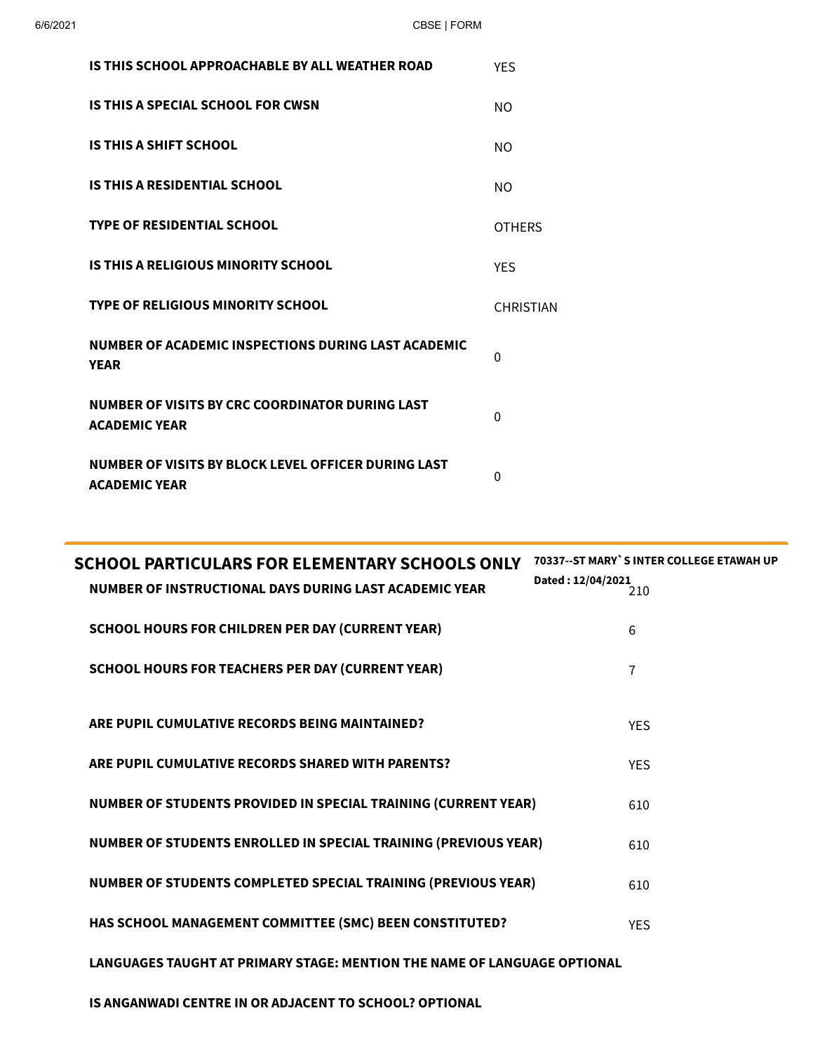| IS THIS SCHOOL APPROACHABLE BY ALL WEATHER ROAD                             | <b>YES</b>       |
|-----------------------------------------------------------------------------|------------------|
| IS THIS A SPECIAL SCHOOL FOR CWSN                                           | NO.              |
| IS THIS A SHIFT SCHOOL                                                      | NO.              |
| <b>IS THIS A RESIDENTIAL SCHOOL</b>                                         | NO.              |
| <b>TYPE OF RESIDENTIAL SCHOOL</b>                                           | <b>OTHERS</b>    |
| IS THIS A RELIGIOUS MINORITY SCHOOL                                         | <b>YES</b>       |
| TYPE OF RELIGIOUS MINORITY SCHOOL                                           | <b>CHRISTIAN</b> |
| NUMBER OF ACADEMIC INSPECTIONS DURING LAST ACADEMIC<br><b>YEAR</b>          | 0                |
| NUMBER OF VISITS BY CRC COORDINATOR DURING LAST<br><b>ACADEMIC YEAR</b>     | $\Omega$         |
| NUMBER OF VISITS BY BLOCK LEVEL OFFICER DURING LAST<br><b>ACADEMIC YEAR</b> | 0                |

| <b>SCHOOL PARTICULARS FOR ELEMENTARY SCHOOLS ONLY</b><br>NUMBER OF INSTRUCTIONAL DAYS DURING LAST ACADEMIC YEAR | <b>70337--ST MARY`S INTER COLLEGE ETAWAH UP</b><br>Dated: 12/04/2021 |
|-----------------------------------------------------------------------------------------------------------------|----------------------------------------------------------------------|
| <b>SCHOOL HOURS FOR CHILDREN PER DAY (CURRENT YEAR)</b>                                                         | 6                                                                    |
| <b>SCHOOL HOURS FOR TEACHERS PER DAY (CURRENT YEAR)</b>                                                         | 7                                                                    |
| ARE PUPIL CUMULATIVE RECORDS BEING MAINTAINED?                                                                  | <b>YES</b>                                                           |
| ARE PUPIL CUMULATIVE RECORDS SHARED WITH PARENTS?                                                               | <b>YES</b>                                                           |
| NUMBER OF STUDENTS PROVIDED IN SPECIAL TRAINING (CURRENT YEAR)                                                  | 610                                                                  |
| <b>NUMBER OF STUDENTS ENROLLED IN SPECIAL TRAINING (PREVIOUS YEAR)</b>                                          | 610                                                                  |
| NUMBER OF STUDENTS COMPLETED SPECIAL TRAINING (PREVIOUS YEAR)                                                   | 610                                                                  |
| HAS SCHOOL MANAGEMENT COMMITTEE (SMC) BEEN CONSTITUTED?                                                         | <b>YES</b>                                                           |
| LANGUAGES TAUGHT AT PRIMARY STAGE: MENTION THE NAME OF LANGUAGE OPTIONAL                                        |                                                                      |
|                                                                                                                 |                                                                      |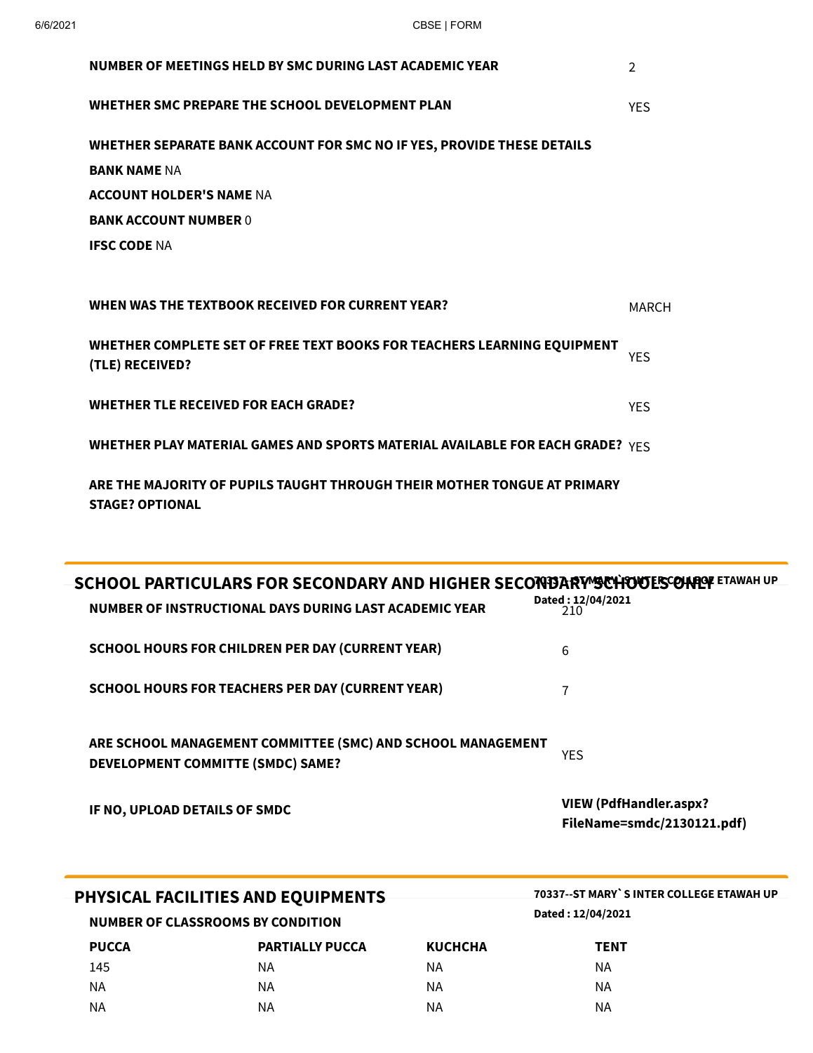**STAGE? OPTIONAL**

| NUMBER OF MEETINGS HELD BY SMC DURING LAST ACADEMIC YEAR                                   | $\mathfrak{D}$ |
|--------------------------------------------------------------------------------------------|----------------|
| WHETHER SMC PREPARE THE SCHOOL DEVELOPMENT PLAN                                            | <b>YES</b>     |
| WHETHER SEPARATE BANK ACCOUNT FOR SMC NO IF YES, PROVIDE THESE DETAILS                     |                |
| <b>BANK NAME NA</b>                                                                        |                |
| <b>ACCOUNT HOLDER'S NAME NA</b>                                                            |                |
| <b>BANK ACCOUNT NUMBER 0</b>                                                               |                |
| <b>IFSC CODE NA</b>                                                                        |                |
|                                                                                            |                |
| WHEN WAS THE TEXTBOOK RECEIVED FOR CURRENT YEAR?                                           | <b>MARCH</b>   |
| WHETHER COMPLETE SET OF FREE TEXT BOOKS FOR TEACHERS LEARNING EQUIPMENT<br>(TLE) RECEIVED? | <b>YES</b>     |
| <b>WHETHER TLE RECEIVED FOR EACH GRADE?</b>                                                | <b>YES</b>     |
| WHETHER PLAY MATERIAL GAMES AND SPORTS MATERIAL AVAILABLE FOR EACH GRADE? $YES$            |                |
| ARE THE MAJORITY OF PUPILS TAUGHT THROUGH THEIR MOTHER TONGUE AT PRIMARY                   |                |

| SCHOOL PARTICULARS FOR SECONDARY AND HIGHER SECONDARY SCHOOL PARTICULARS FOR SECONDARY AND HIGHER SECONDARY ST |                                                             |
|----------------------------------------------------------------------------------------------------------------|-------------------------------------------------------------|
| NUMBER OF INSTRUCTIONAL DAYS DURING LAST ACADEMIC YEAR                                                         | Dated: 12/04/2021<br>210                                    |
| <b>SCHOOL HOURS FOR CHILDREN PER DAY (CURRENT YEAR)</b>                                                        | 6                                                           |
| <b>SCHOOL HOURS FOR TEACHERS PER DAY (CURRENT YEAR)</b>                                                        | 7                                                           |
| ARE SCHOOL MANAGEMENT COMMITTEE (SMC) AND SCHOOL MANAGEMENT<br>DEVELOPMENT COMMITTE (SMDC) SAME?               | <b>YES</b>                                                  |
| IF NO, UPLOAD DETAILS OF SMDC                                                                                  | <b>VIEW (PdfHandler.aspx?</b><br>FileName=smdc/2130121.pdf) |
|                                                                                                                |                                                             |
| PHYSICAL FACILITIES AND EQUIPMENTS                                                                             | 70337--ST MARY`S INTER COLLEGE ETAWAH UP                    |
| NUMBER OF CLASSROOMS BY CONDITION                                                                              | Dated: 12/04/2021                                           |

| NUMBER OF CEASSINGUMS BE CONDITION |                |             |  |  |
|------------------------------------|----------------|-------------|--|--|
| <b>PARTIALLY PUCCA</b>             | <b>KUCHCHA</b> | <b>TENT</b> |  |  |
| ΝA                                 | ΝA             | ΝA          |  |  |
| ΝA                                 | ΝA             | ΝA          |  |  |
| ΝA                                 | ΝA             | ΝA          |  |  |
|                                    |                |             |  |  |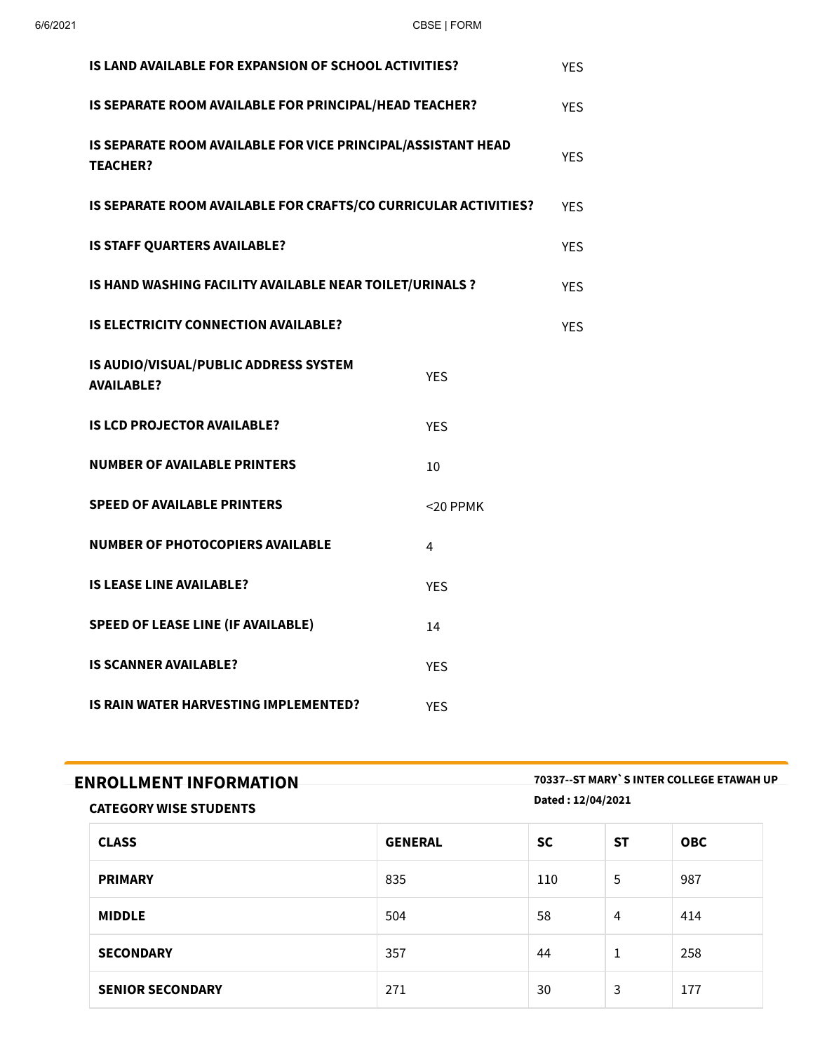| IS LAND AVAILABLE FOR EXPANSION OF SCHOOL ACTIVITIES?                           |             |            |  |  |
|---------------------------------------------------------------------------------|-------------|------------|--|--|
| IS SEPARATE ROOM AVAILABLE FOR PRINCIPAL/HEAD TEACHER?                          |             |            |  |  |
| IS SEPARATE ROOM AVAILABLE FOR VICE PRINCIPAL/ASSISTANT HEAD<br><b>TEACHER?</b> |             |            |  |  |
| IS SEPARATE ROOM AVAILABLE FOR CRAFTS/CO CURRICULAR ACTIVITIES?                 |             | <b>YES</b> |  |  |
| IS STAFF QUARTERS AVAILABLE?                                                    |             | <b>YES</b> |  |  |
| IS HAND WASHING FACILITY AVAILABLE NEAR TOILET/URINALS ?                        |             | <b>YES</b> |  |  |
| <b>IS ELECTRICITY CONNECTION AVAILABLE?</b>                                     |             | <b>YES</b> |  |  |
| IS AUDIO/VISUAL/PUBLIC ADDRESS SYSTEM<br><b>YES</b><br><b>AVAILABLE?</b>        |             |            |  |  |
| <b>IS LCD PROJECTOR AVAILABLE?</b>                                              | <b>YES</b>  |            |  |  |
| <b>NUMBER OF AVAILABLE PRINTERS</b>                                             | 10          |            |  |  |
| <b>SPEED OF AVAILABLE PRINTERS</b>                                              | $<$ 20 PPMK |            |  |  |
| <b>NUMBER OF PHOTOCOPIERS AVAILABLE</b>                                         | 4           |            |  |  |
| <b>IS LEASE LINE AVAILABLE?</b><br><b>YES</b>                                   |             |            |  |  |
| <b>SPEED OF LEASE LINE (IF AVAILABLE)</b><br>14                                 |             |            |  |  |
| <b>IS SCANNER AVAILABLE?</b>                                                    | <b>YES</b>  |            |  |  |
| <b>IS RAIN WATER HARVESTING IMPLEMENTED?</b><br><b>YES</b>                      |             |            |  |  |

**ENROLLMENT INFORMATION 70337--ST MARY`S INTER COLLEGE ETAWAH UP Dated : 12/04/2021**

## **CATEGORY WISE STUDENTS**

| <b>CLASS</b>            | <b>GENERAL</b> | <b>SC</b> | <b>ST</b> | <b>OBC</b> |
|-------------------------|----------------|-----------|-----------|------------|
| <b>PRIMARY</b>          | 835            | 110       | 5         | 987        |
| <b>MIDDLE</b>           | 504            | 58        | 4         | 414        |
| <b>SECONDARY</b>        | 357            | 44        | 1         | 258        |
| <b>SENIOR SECONDARY</b> | 271            | 30        | 3         | 177        |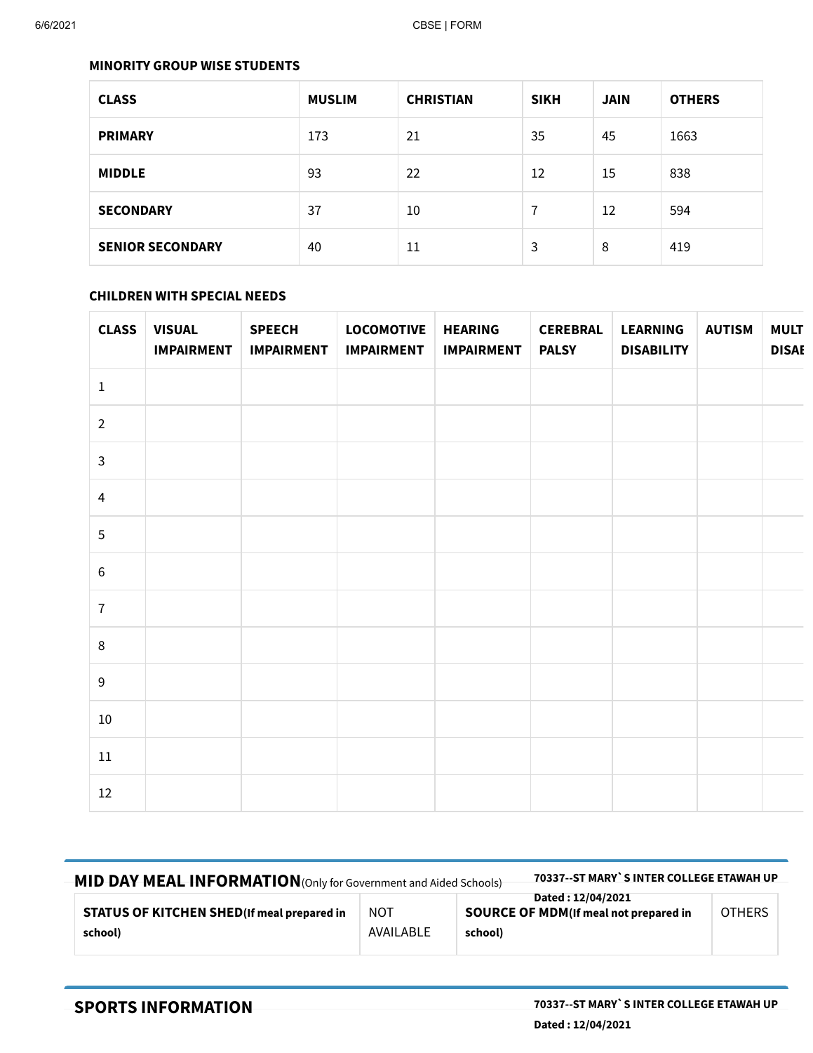#### **MINORITY GROUP WISE STUDENTS**

| <b>CLASS</b>            | <b>MUSLIM</b> | <b>CHRISTIAN</b> | <b>SIKH</b> | <b>JAIN</b> | <b>OTHERS</b> |
|-------------------------|---------------|------------------|-------------|-------------|---------------|
| <b>PRIMARY</b>          | 173           | 21               | 35          | 45          | 1663          |
| <b>MIDDLE</b>           | 93            | 22               | 12          | 15          | 838           |
| <b>SECONDARY</b>        | 37            | 10               | 7           | 12          | 594           |
| <b>SENIOR SECONDARY</b> | 40            | 11               | 3           | 8           | 419           |

## **CHILDREN WITH SPECIAL NEEDS**

| <b>CLASS</b>    | <b>VISUAL</b><br><b>IMPAIRMENT</b> | <b>SPEECH</b><br><b>IMPAIRMENT</b> | <b>LOCOMOTIVE</b><br><b>IMPAIRMENT</b> | <b>HEARING</b><br><b>IMPAIRMENT</b> | <b>CEREBRAL</b><br><b>PALSY</b> | <b>LEARNING</b><br><b>DISABILITY</b> | <b>AUTISM</b> | <b>MULT</b><br><b>DISAI</b> |
|-----------------|------------------------------------|------------------------------------|----------------------------------------|-------------------------------------|---------------------------------|--------------------------------------|---------------|-----------------------------|
| $\mathbf 1$     |                                    |                                    |                                        |                                     |                                 |                                      |               |                             |
| $\overline{2}$  |                                    |                                    |                                        |                                     |                                 |                                      |               |                             |
| $\mathbf{3}$    |                                    |                                    |                                        |                                     |                                 |                                      |               |                             |
| $\overline{4}$  |                                    |                                    |                                        |                                     |                                 |                                      |               |                             |
| $5\phantom{.0}$ |                                    |                                    |                                        |                                     |                                 |                                      |               |                             |
| $\,6\,$         |                                    |                                    |                                        |                                     |                                 |                                      |               |                             |
| $\bf 7$         |                                    |                                    |                                        |                                     |                                 |                                      |               |                             |
| $\,8\,$         |                                    |                                    |                                        |                                     |                                 |                                      |               |                             |
| $9\,$           |                                    |                                    |                                        |                                     |                                 |                                      |               |                             |
| 10              |                                    |                                    |                                        |                                     |                                 |                                      |               |                             |
| $11\,$          |                                    |                                    |                                        |                                     |                                 |                                      |               |                             |
| 12              |                                    |                                    |                                        |                                     |                                 |                                      |               |                             |

| MID DAY MEAL INFORMATION (Only for Government and Aided Schools) | 70337--ST MARY`S INTER COLLEGE ETAWAH UP |                                                                               |               |
|------------------------------------------------------------------|------------------------------------------|-------------------------------------------------------------------------------|---------------|
| <b>STATUS OF KITCHEN SHED(If meal prepared in</b><br>school)     | <b>NOT</b><br>AVAILABLE                  | Dated: 12/04/2021<br><b>SOURCE OF MDM</b> (If meal not prepared in<br>school) | <b>OTHERS</b> |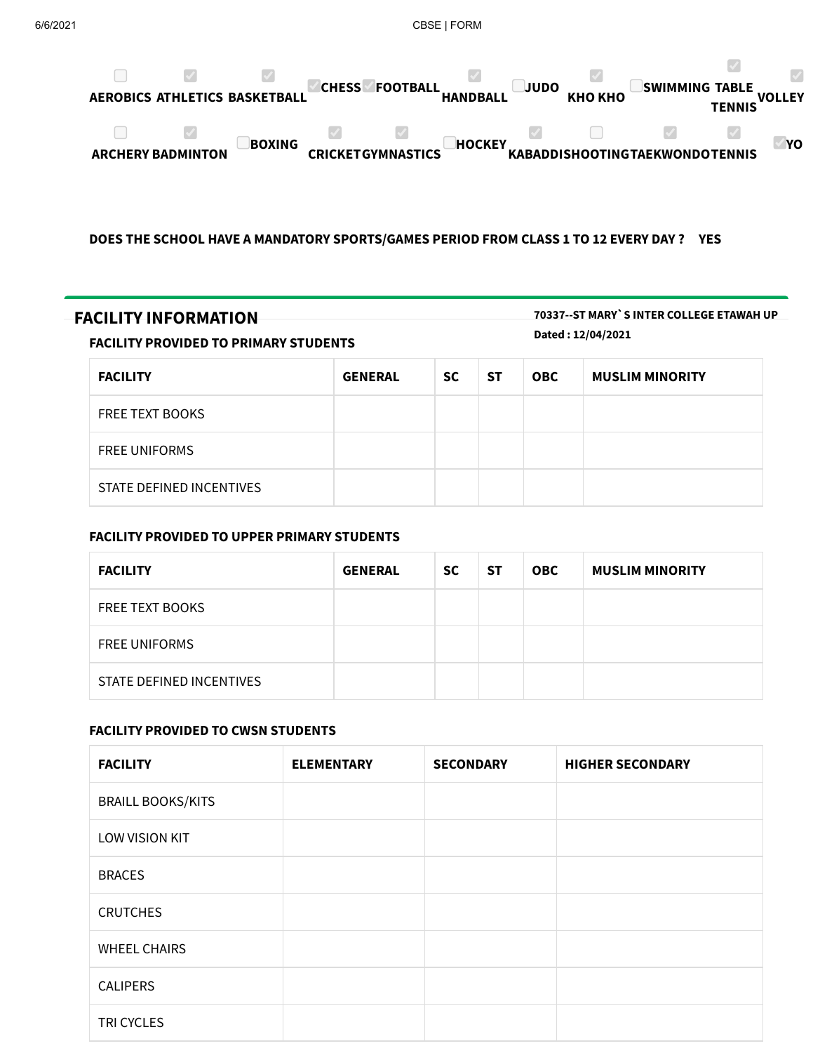

### **DOES THE SCHOOL HAVE A MANDATORY SPORTS/GAMES PERIOD FROM CLASS 1 TO 12 EVERY DAY ? YES**

| <b>FACILITY INFORMATION</b><br><b>FACILITY PROVIDED TO PRIMARY STUDENTS</b> |                |           |           |            | 70337--ST MARY`S INTER COLLEGE ETAWAH UP<br>Dated: 12/04/2021 |
|-----------------------------------------------------------------------------|----------------|-----------|-----------|------------|---------------------------------------------------------------|
| <b>FACILITY</b>                                                             | <b>GENERAL</b> | <b>SC</b> | <b>ST</b> | <b>OBC</b> | <b>MUSLIM MINORITY</b>                                        |
| <b>FREE TEXT BOOKS</b>                                                      |                |           |           |            |                                                               |
| <b>FREE UNIFORMS</b>                                                        |                |           |           |            |                                                               |
| STATE DEFINED INCENTIVES                                                    |                |           |           |            |                                                               |

## **FACILITY PROVIDED TO UPPER PRIMARY STUDENTS**

| <b>FACILITY</b>          | <b>GENERAL</b> | <b>SC</b> | <b>ST</b> | <b>OBC</b> | <b>MUSLIM MINORITY</b> |
|--------------------------|----------------|-----------|-----------|------------|------------------------|
| <b>FREE TEXT BOOKS</b>   |                |           |           |            |                        |
| <b>FREE UNIFORMS</b>     |                |           |           |            |                        |
| STATE DEFINED INCENTIVES |                |           |           |            |                        |

## **FACILITY PROVIDED TO CWSN STUDENTS**

| <b>FACILITY</b>          | <b>ELEMENTARY</b> | <b>SECONDARY</b> | <b>HIGHER SECONDARY</b> |
|--------------------------|-------------------|------------------|-------------------------|
| <b>BRAILL BOOKS/KITS</b> |                   |                  |                         |
| LOW VISION KIT           |                   |                  |                         |
| <b>BRACES</b>            |                   |                  |                         |
| <b>CRUTCHES</b>          |                   |                  |                         |
| <b>WHEEL CHAIRS</b>      |                   |                  |                         |
| <b>CALIPERS</b>          |                   |                  |                         |
| TRI CYCLES               |                   |                  |                         |